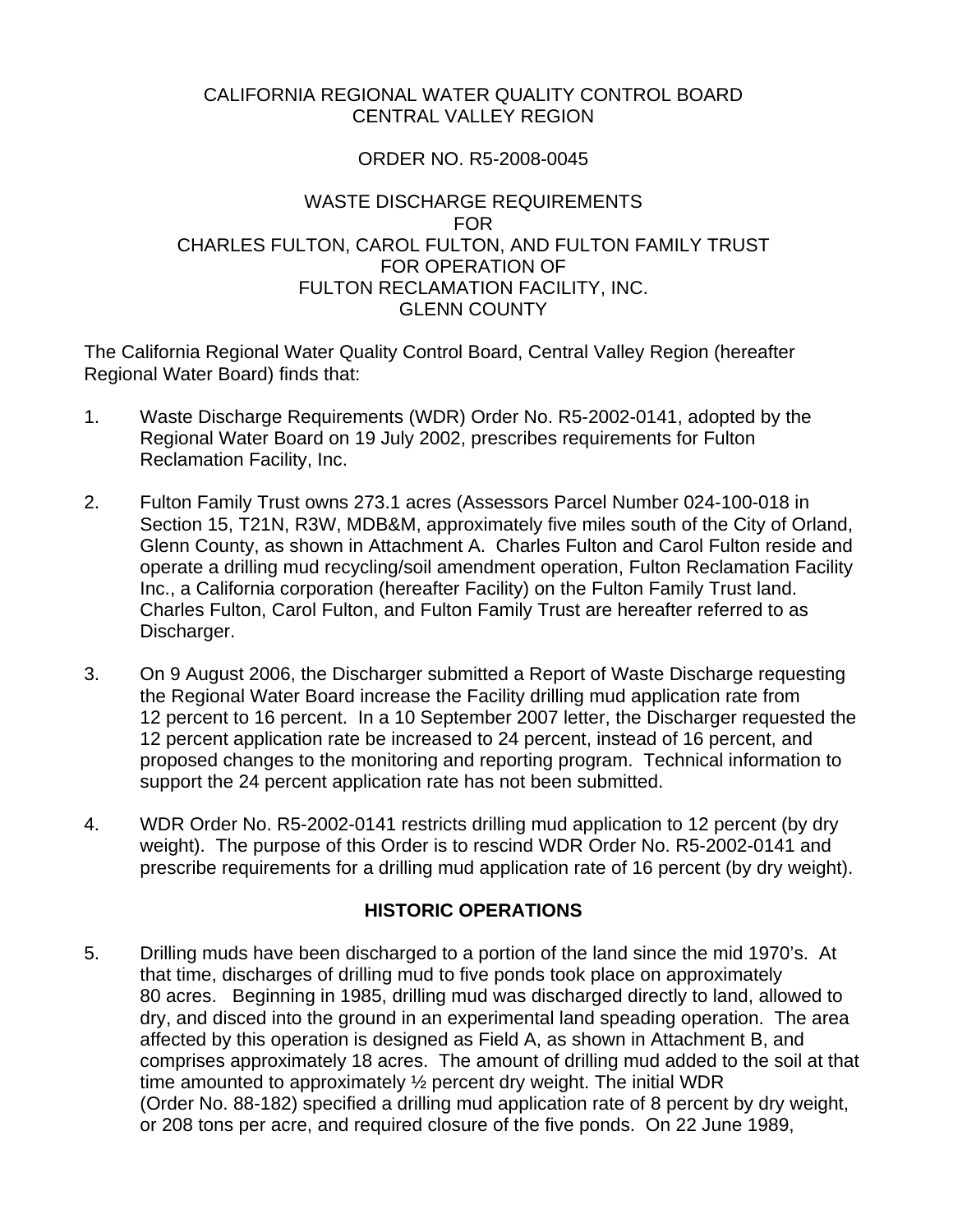### CALIFORNIA REGIONAL WATER QUALITY CONTROL BOARD CENTRAL VALLEY REGION

### ORDER NO. R5-2008-0045

### WASTE DISCHARGE REQUIREMENTS FOR CHARLES FULTON, CAROL FULTON, AND FULTON FAMILY TRUST FOR OPERATION OF FULTON RECLAMATION FACILITY, INC. GLENN COUNTY

The California Regional Water Quality Control Board, Central Valley Region (hereafter Regional Water Board) finds that:

- 1. Waste Discharge Requirements (WDR) Order No. R5-2002-0141, adopted by the Regional Water Board on 19 July 2002, prescribes requirements for Fulton Reclamation Facility, Inc.
- 2. Fulton Family Trust owns 273.1 acres (Assessors Parcel Number 024-100-018 in Section 15, T21N, R3W, MDB&M, approximately five miles south of the City of Orland, Glenn County, as shown in Attachment A. Charles Fulton and Carol Fulton reside and operate a drilling mud recycling/soil amendment operation, Fulton Reclamation Facility Inc., a California corporation (hereafter Facility) on the Fulton Family Trust land. Charles Fulton, Carol Fulton, and Fulton Family Trust are hereafter referred to as Discharger.
- 3. On 9 August 2006, the Discharger submitted a Report of Waste Discharge requesting the Regional Water Board increase the Facility drilling mud application rate from 12 percent to 16 percent. In a 10 September 2007 letter, the Discharger requested the 12 percent application rate be increased to 24 percent, instead of 16 percent, and proposed changes to the monitoring and reporting program. Technical information to support the 24 percent application rate has not been submitted.
- 4. WDR Order No. R5-2002-0141 restricts drilling mud application to 12 percent (by dry weight). The purpose of this Order is to rescind WDR Order No. R5-2002-0141 and prescribe requirements for a drilling mud application rate of 16 percent (by dry weight).

# **HISTORIC OPERATIONS**

5. Drilling muds have been discharged to a portion of the land since the mid 1970's. At that time, discharges of drilling mud to five ponds took place on approximately 80 acres. Beginning in 1985, drilling mud was discharged directly to land, allowed to dry, and disced into the ground in an experimental land speading operation. The area affected by this operation is designed as Field A, as shown in Attachment B, and comprises approximately 18 acres. The amount of drilling mud added to the soil at that time amounted to approximately ½ percent dry weight. The initial WDR (Order No. 88-182) specified a drilling mud application rate of 8 percent by dry weight, or 208 tons per acre, and required closure of the five ponds. On 22 June 1989,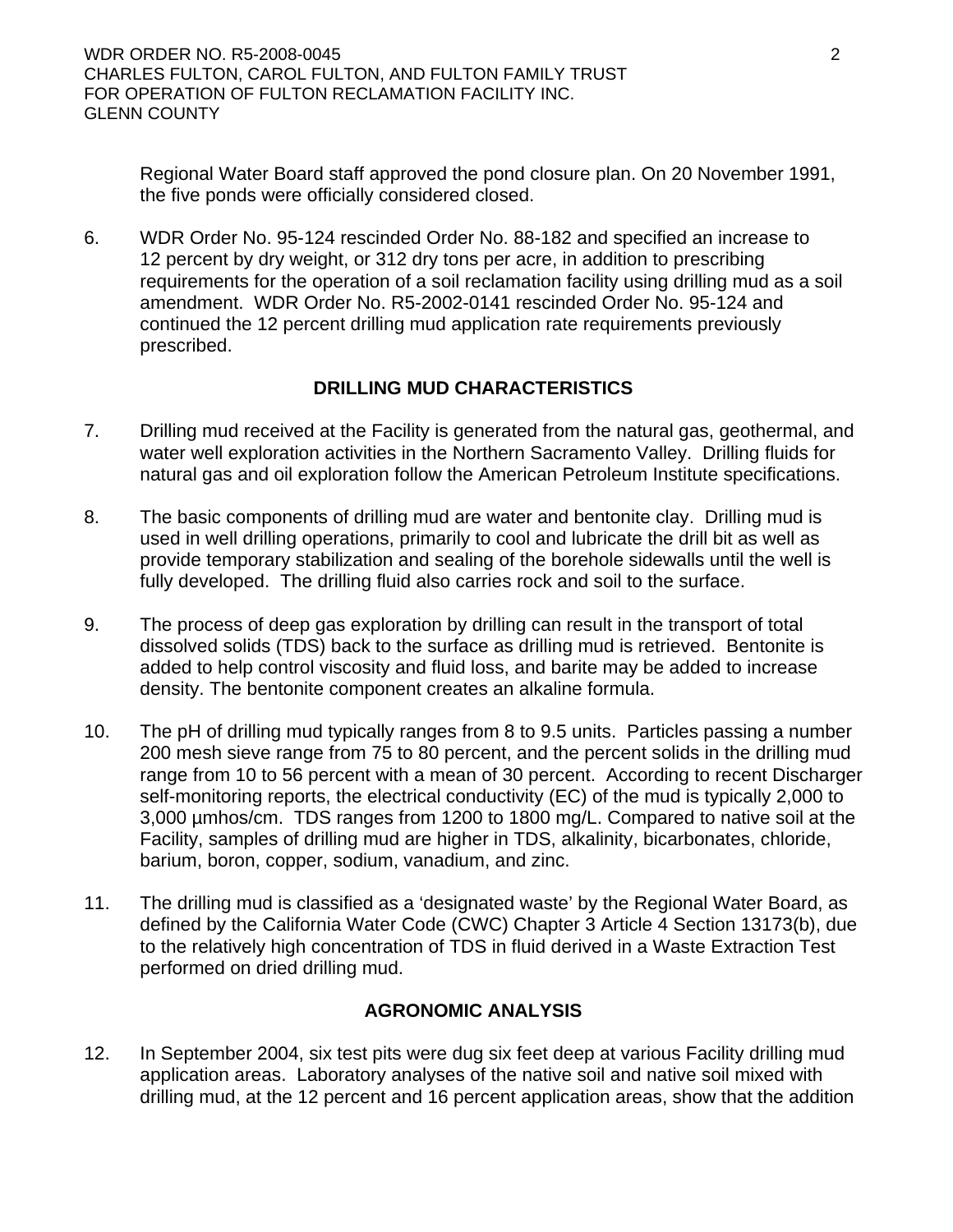Regional Water Board staff approved the pond closure plan. On 20 November 1991, the five ponds were officially considered closed.

6. WDR Order No. 95-124 rescinded Order No. 88-182 and specified an increase to 12 percent by dry weight, or 312 dry tons per acre, in addition to prescribing requirements for the operation of a soil reclamation facility using drilling mud as a soil amendment. WDR Order No. R5-2002-0141 rescinded Order No. 95-124 and continued the 12 percent drilling mud application rate requirements previously prescribed.

## **DRILLING MUD CHARACTERISTICS**

- 7. Drilling mud received at the Facility is generated from the natural gas, geothermal, and water well exploration activities in the Northern Sacramento Valley. Drilling fluids for natural gas and oil exploration follow the American Petroleum Institute specifications.
- 8. The basic components of drilling mud are water and bentonite clay. Drilling mud is used in well drilling operations, primarily to cool and lubricate the drill bit as well as provide temporary stabilization and sealing of the borehole sidewalls until the well is fully developed. The drilling fluid also carries rock and soil to the surface.
- 9. The process of deep gas exploration by drilling can result in the transport of total dissolved solids (TDS) back to the surface as drilling mud is retrieved. Bentonite is added to help control viscosity and fluid loss, and barite may be added to increase density. The bentonite component creates an alkaline formula.
- 10. The pH of drilling mud typically ranges from 8 to 9.5 units. Particles passing a number 200 mesh sieve range from 75 to 80 percent, and the percent solids in the drilling mud range from 10 to 56 percent with a mean of 30 percent. According to recent Discharger self-monitoring reports, the electrical conductivity (EC) of the mud is typically 2,000 to 3,000 µmhos/cm. TDS ranges from 1200 to 1800 mg/L. Compared to native soil at the Facility, samples of drilling mud are higher in TDS, alkalinity, bicarbonates, chloride, barium, boron, copper, sodium, vanadium, and zinc.
- 11. The drilling mud is classified as a 'designated waste' by the Regional Water Board, as defined by the California Water Code (CWC) Chapter 3 Article 4 Section 13173(b), due to the relatively high concentration of TDS in fluid derived in a Waste Extraction Test performed on dried drilling mud.

# **AGRONOMIC ANALYSIS**

12. In September 2004, six test pits were dug six feet deep at various Facility drilling mud application areas. Laboratory analyses of the native soil and native soil mixed with drilling mud, at the 12 percent and 16 percent application areas, show that the addition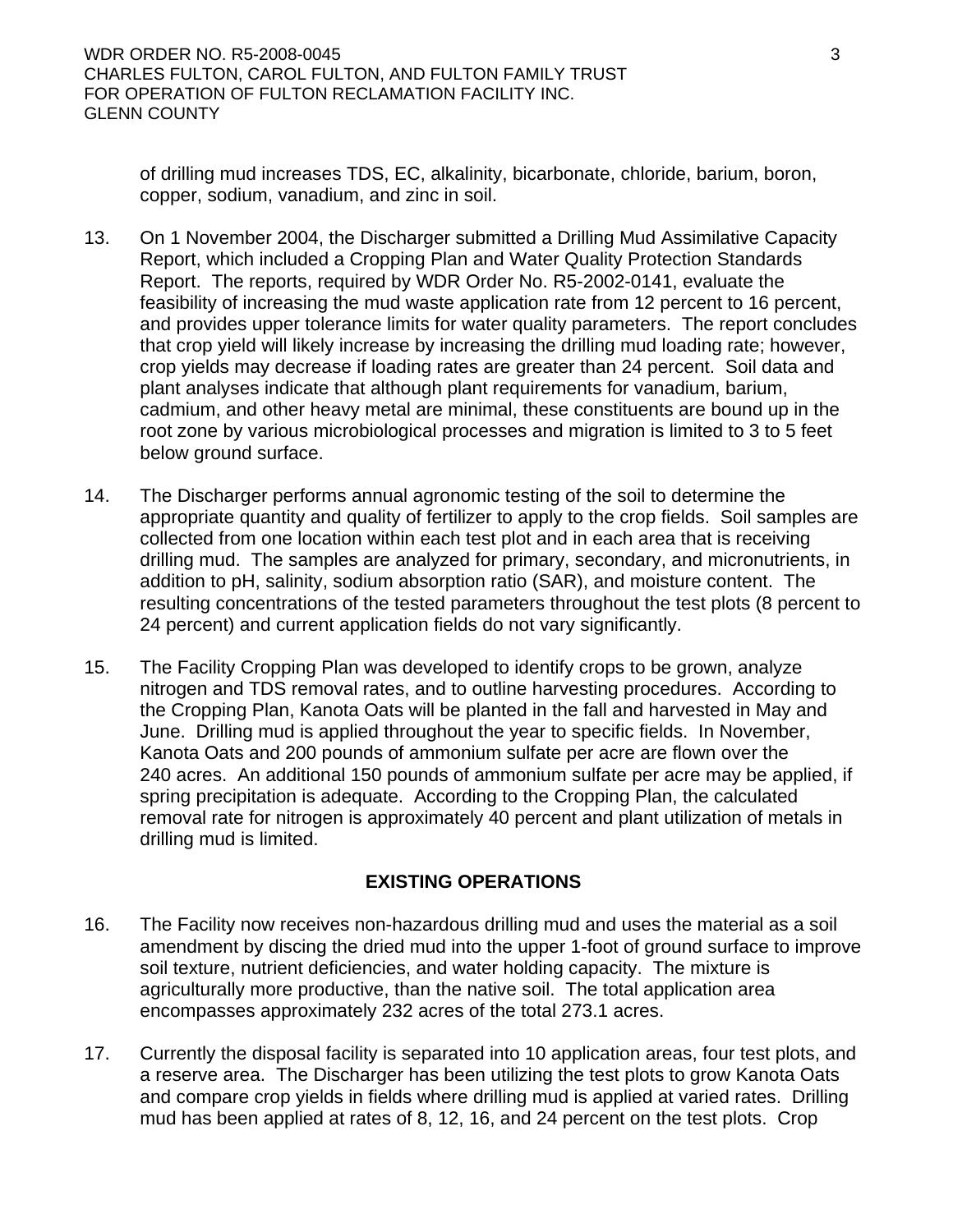of drilling mud increases TDS, EC, alkalinity, bicarbonate, chloride, barium, boron, copper, sodium, vanadium, and zinc in soil.

- 13. On 1 November 2004, the Discharger submitted a Drilling Mud Assimilative Capacity Report, which included a Cropping Plan and Water Quality Protection Standards Report. The reports, required by WDR Order No. R5-2002-0141, evaluate the feasibility of increasing the mud waste application rate from 12 percent to 16 percent, and provides upper tolerance limits for water quality parameters. The report concludes that crop yield will likely increase by increasing the drilling mud loading rate; however, crop yields may decrease if loading rates are greater than 24 percent. Soil data and plant analyses indicate that although plant requirements for vanadium, barium, cadmium, and other heavy metal are minimal, these constituents are bound up in the root zone by various microbiological processes and migration is limited to 3 to 5 feet below ground surface.
- 14. The Discharger performs annual agronomic testing of the soil to determine the appropriate quantity and quality of fertilizer to apply to the crop fields. Soil samples are collected from one location within each test plot and in each area that is receiving drilling mud. The samples are analyzed for primary, secondary, and micronutrients, in addition to pH, salinity, sodium absorption ratio (SAR), and moisture content. The resulting concentrations of the tested parameters throughout the test plots (8 percent to 24 percent) and current application fields do not vary significantly.
- 15. The Facility Cropping Plan was developed to identify crops to be grown, analyze nitrogen and TDS removal rates, and to outline harvesting procedures. According to the Cropping Plan, Kanota Oats will be planted in the fall and harvested in May and June. Drilling mud is applied throughout the year to specific fields. In November, Kanota Oats and 200 pounds of ammonium sulfate per acre are flown over the 240 acres. An additional 150 pounds of ammonium sulfate per acre may be applied, if spring precipitation is adequate. According to the Cropping Plan, the calculated removal rate for nitrogen is approximately 40 percent and plant utilization of metals in drilling mud is limited.

### **EXISTING OPERATIONS**

- 16. The Facility now receives non-hazardous drilling mud and uses the material as a soil amendment by discing the dried mud into the upper 1-foot of ground surface to improve soil texture, nutrient deficiencies, and water holding capacity. The mixture is agriculturally more productive, than the native soil. The total application area encompasses approximately 232 acres of the total 273.1 acres.
- 17. Currently the disposal facility is separated into 10 application areas, four test plots, and a reserve area. The Discharger has been utilizing the test plots to grow Kanota Oats and compare crop yields in fields where drilling mud is applied at varied rates. Drilling mud has been applied at rates of 8, 12, 16, and 24 percent on the test plots. Crop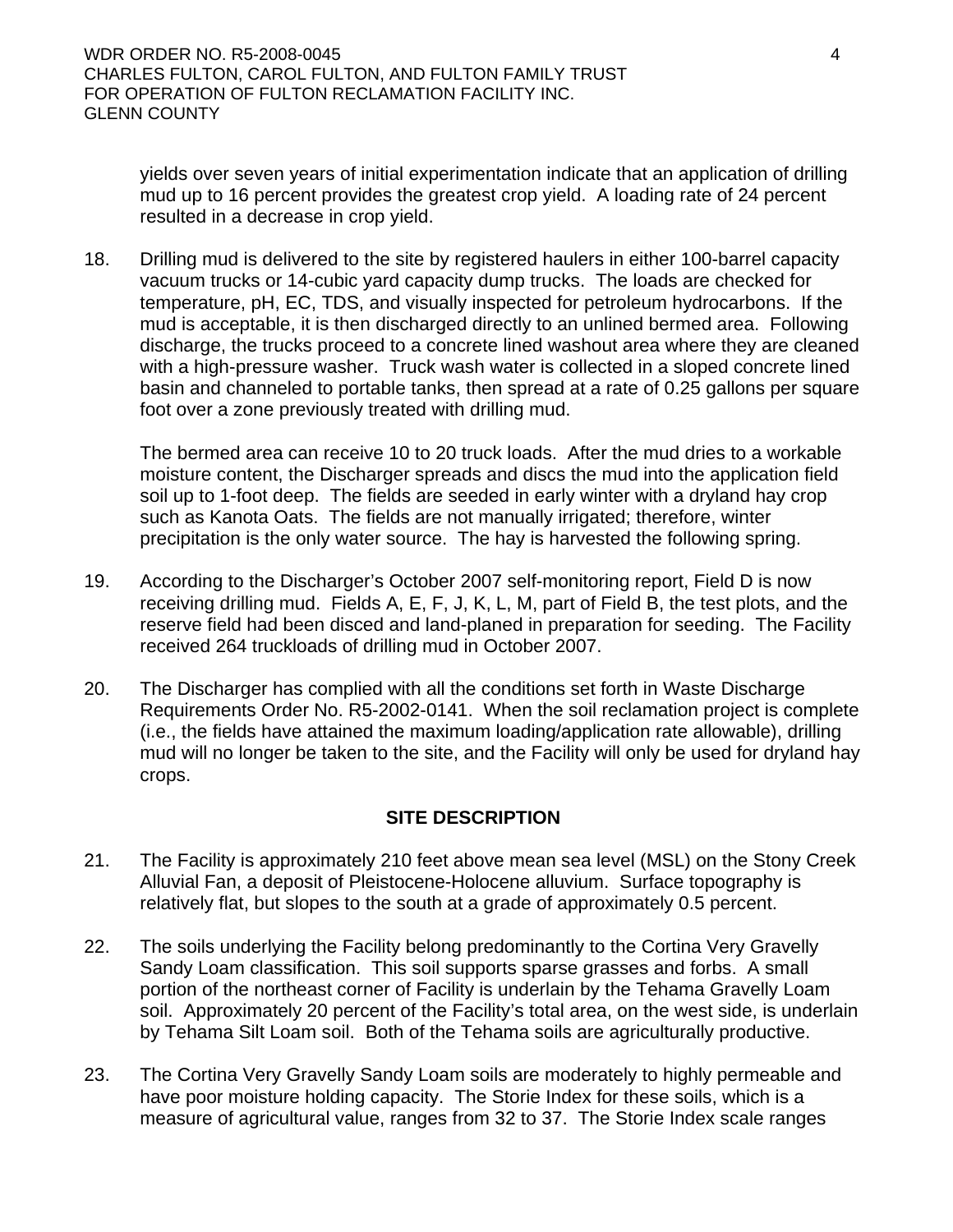yields over seven years of initial experimentation indicate that an application of drilling mud up to 16 percent provides the greatest crop yield. A loading rate of 24 percent resulted in a decrease in crop yield.

18. Drilling mud is delivered to the site by registered haulers in either 100-barrel capacity vacuum trucks or 14-cubic yard capacity dump trucks. The loads are checked for temperature, pH, EC, TDS, and visually inspected for petroleum hydrocarbons. If the mud is acceptable, it is then discharged directly to an unlined bermed area. Following discharge, the trucks proceed to a concrete lined washout area where they are cleaned with a high-pressure washer. Truck wash water is collected in a sloped concrete lined basin and channeled to portable tanks, then spread at a rate of 0.25 gallons per square foot over a zone previously treated with drilling mud.

The bermed area can receive 10 to 20 truck loads. After the mud dries to a workable moisture content, the Discharger spreads and discs the mud into the application field soil up to 1-foot deep. The fields are seeded in early winter with a dryland hay crop such as Kanota Oats. The fields are not manually irrigated; therefore, winter precipitation is the only water source. The hay is harvested the following spring.

- 19. According to the Discharger's October 2007 self-monitoring report, Field D is now receiving drilling mud. Fields A, E, F, J, K, L, M, part of Field B, the test plots, and the reserve field had been disced and land-planed in preparation for seeding. The Facility received 264 truckloads of drilling mud in October 2007.
- 20. The Discharger has complied with all the conditions set forth in Waste Discharge Requirements Order No. R5-2002-0141. When the soil reclamation project is complete (i.e., the fields have attained the maximum loading/application rate allowable), drilling mud will no longer be taken to the site, and the Facility will only be used for dryland hay crops.

### **SITE DESCRIPTION**

- 21. The Facility is approximately 210 feet above mean sea level (MSL) on the Stony Creek Alluvial Fan, a deposit of Pleistocene-Holocene alluvium. Surface topography is relatively flat, but slopes to the south at a grade of approximately 0.5 percent.
- 22. The soils underlying the Facility belong predominantly to the Cortina Very Gravelly Sandy Loam classification. This soil supports sparse grasses and forbs. A small portion of the northeast corner of Facility is underlain by the Tehama Gravelly Loam soil. Approximately 20 percent of the Facility's total area, on the west side, is underlain by Tehama Silt Loam soil. Both of the Tehama soils are agriculturally productive.
- 23. The Cortina Very Gravelly Sandy Loam soils are moderately to highly permeable and have poor moisture holding capacity. The Storie Index for these soils, which is a measure of agricultural value, ranges from 32 to 37. The Storie Index scale ranges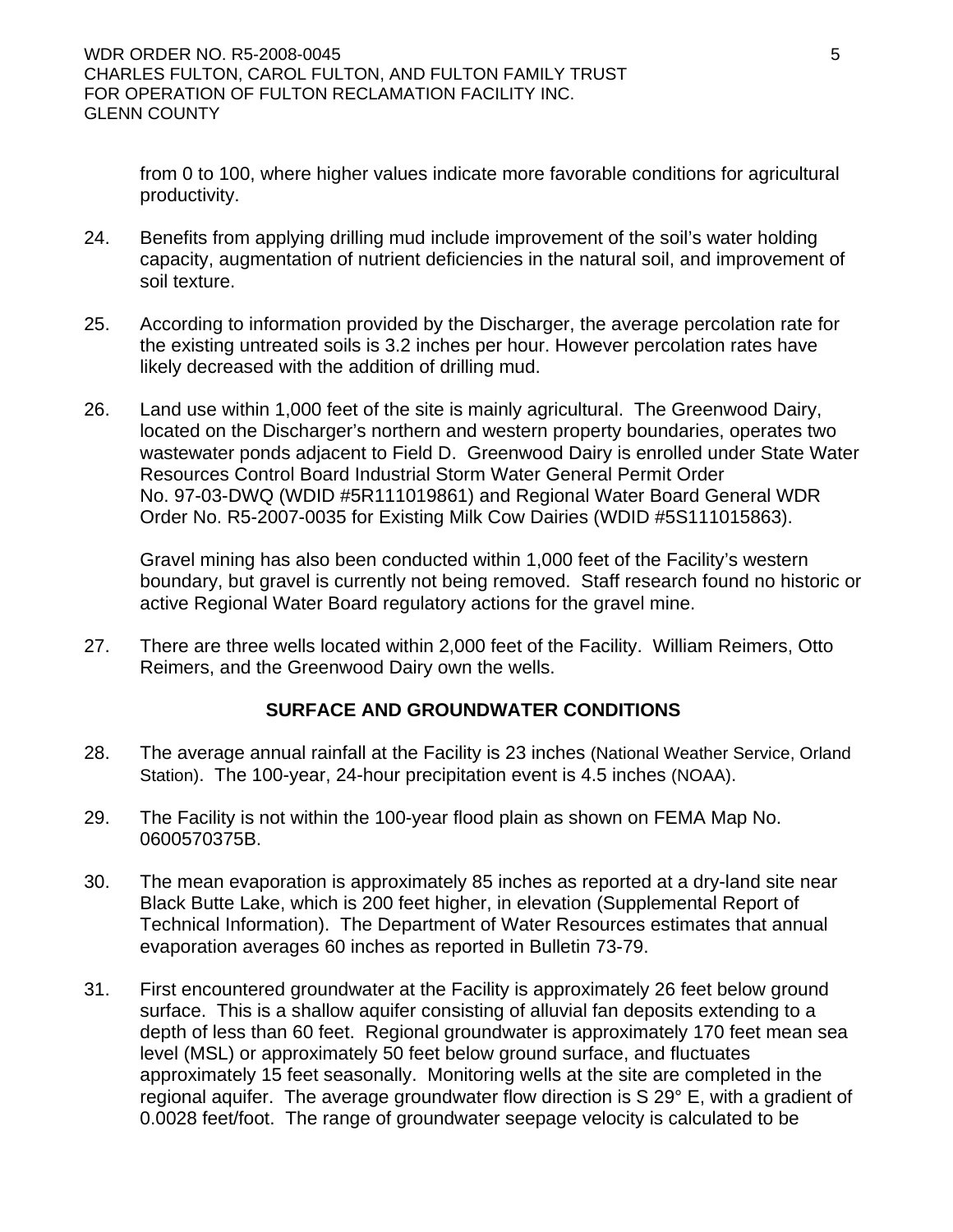from 0 to 100, where higher values indicate more favorable conditions for agricultural productivity.

- 24. Benefits from applying drilling mud include improvement of the soil's water holding capacity, augmentation of nutrient deficiencies in the natural soil, and improvement of soil texture.
- 25. According to information provided by the Discharger, the average percolation rate for the existing untreated soils is 3.2 inches per hour. However percolation rates have likely decreased with the addition of drilling mud.
- 26. Land use within 1,000 feet of the site is mainly agricultural. The Greenwood Dairy, located on the Discharger's northern and western property boundaries, operates two wastewater ponds adjacent to Field D. Greenwood Dairy is enrolled under State Water Resources Control Board Industrial Storm Water General Permit Order No. 97-03-DWQ (WDID #5R111019861) and Regional Water Board General WDR Order No. R5-2007-0035 for Existing Milk Cow Dairies (WDID #5S111015863).

Gravel mining has also been conducted within 1,000 feet of the Facility's western boundary, but gravel is currently not being removed. Staff research found no historic or active Regional Water Board regulatory actions for the gravel mine.

27. There are three wells located within 2,000 feet of the Facility. William Reimers, Otto Reimers, and the Greenwood Dairy own the wells.

# **SURFACE AND GROUNDWATER CONDITIONS**

- 28. The average annual rainfall at the Facility is 23 inches (National Weather Service, Orland Station). The 100-year, 24-hour precipitation event is 4.5 inches (NOAA).
- 29. The Facility is not within the 100-year flood plain as shown on FEMA Map No. 0600570375B.
- 30. The mean evaporation is approximately 85 inches as reported at a dry-land site near Black Butte Lake, which is 200 feet higher, in elevation (Supplemental Report of Technical Information). The Department of Water Resources estimates that annual evaporation averages 60 inches as reported in Bulletin 73-79.
- 31. First encountered groundwater at the Facility is approximately 26 feet below ground surface. This is a shallow aquifer consisting of alluvial fan deposits extending to a depth of less than 60 feet. Regional groundwater is approximately 170 feet mean sea level (MSL) or approximately 50 feet below ground surface, and fluctuates approximately 15 feet seasonally. Monitoring wells at the site are completed in the regional aquifer. The average groundwater flow direction is S 29° E, with a gradient of 0.0028 feet/foot. The range of groundwater seepage velocity is calculated to be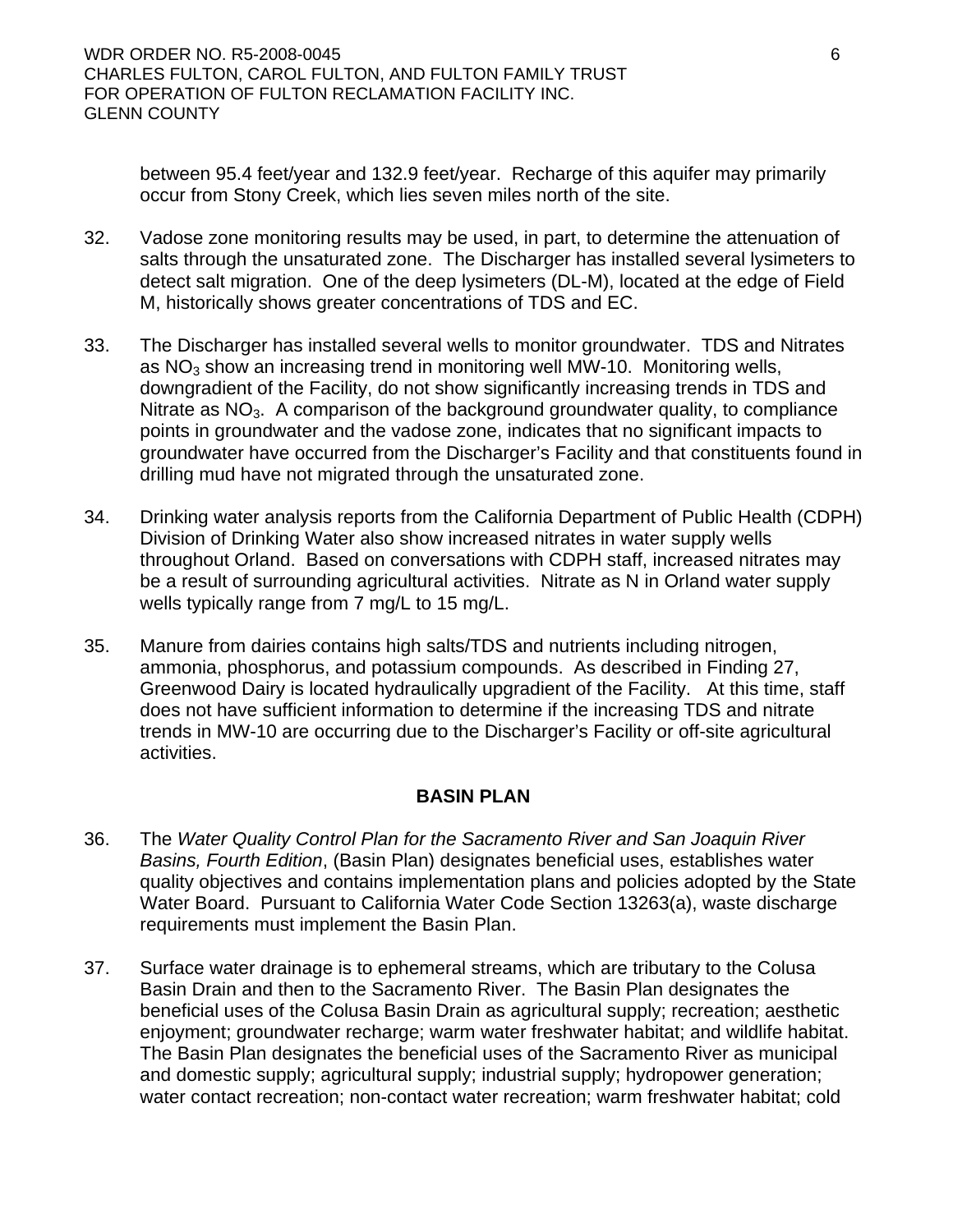between 95.4 feet/year and 132.9 feet/year. Recharge of this aquifer may primarily occur from Stony Creek, which lies seven miles north of the site.

- 32. Vadose zone monitoring results may be used, in part, to determine the attenuation of salts through the unsaturated zone. The Discharger has installed several lysimeters to detect salt migration. One of the deep lysimeters (DL-M), located at the edge of Field M, historically shows greater concentrations of TDS and EC.
- 33. The Discharger has installed several wells to monitor groundwater. TDS and Nitrates as  $NO<sub>3</sub>$  show an increasing trend in monitoring well MW-10. Monitoring wells, downgradient of the Facility, do not show significantly increasing trends in TDS and Nitrate as  $NO<sub>3</sub>$ . A comparison of the background groundwater quality, to compliance points in groundwater and the vadose zone, indicates that no significant impacts to groundwater have occurred from the Discharger's Facility and that constituents found in drilling mud have not migrated through the unsaturated zone.
- 34. Drinking water analysis reports from the California Department of Public Health (CDPH) Division of Drinking Water also show increased nitrates in water supply wells throughout Orland. Based on conversations with CDPH staff, increased nitrates may be a result of surrounding agricultural activities. Nitrate as N in Orland water supply wells typically range from 7 mg/L to 15 mg/L.
- 35. Manure from dairies contains high salts/TDS and nutrients including nitrogen, ammonia, phosphorus, and potassium compounds. As described in Finding 27, Greenwood Dairy is located hydraulically upgradient of the Facility. At this time, staff does not have sufficient information to determine if the increasing TDS and nitrate trends in MW-10 are occurring due to the Discharger's Facility or off-site agricultural activities.

### **BASIN PLAN**

- 36. The *Water Quality Control Plan for the Sacramento River and San Joaquin River Basins, Fourth Edition*, (Basin Plan) designates beneficial uses, establishes water quality objectives and contains implementation plans and policies adopted by the State Water Board. Pursuant to California Water Code Section 13263(a), waste discharge requirements must implement the Basin Plan.
- 37. Surface water drainage is to ephemeral streams, which are tributary to the Colusa Basin Drain and then to the Sacramento River. The Basin Plan designates the beneficial uses of the Colusa Basin Drain as agricultural supply; recreation; aesthetic enjoyment; groundwater recharge; warm water freshwater habitat; and wildlife habitat. The Basin Plan designates the beneficial uses of the Sacramento River as municipal and domestic supply; agricultural supply; industrial supply; hydropower generation; water contact recreation; non-contact water recreation; warm freshwater habitat; cold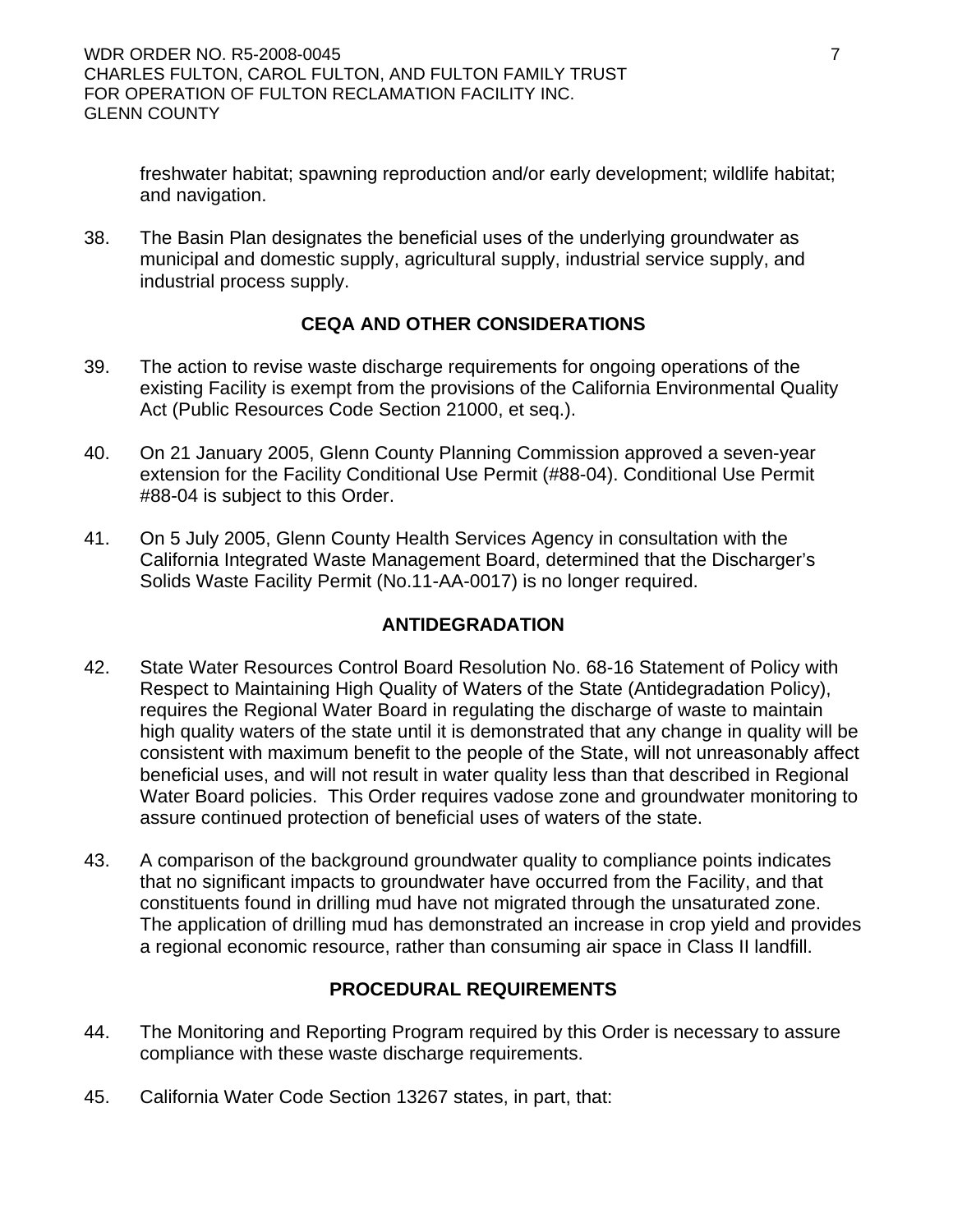freshwater habitat; spawning reproduction and/or early development; wildlife habitat; and navigation.

38. The Basin Plan designates the beneficial uses of the underlying groundwater as municipal and domestic supply, agricultural supply, industrial service supply, and industrial process supply.

# **CEQA AND OTHER CONSIDERATIONS**

- 39. The action to revise waste discharge requirements for ongoing operations of the existing Facility is exempt from the provisions of the California Environmental Quality Act (Public Resources Code Section 21000, et seq.).
- 40. On 21 January 2005, Glenn County Planning Commission approved a seven-year extension for the Facility Conditional Use Permit (#88-04). Conditional Use Permit #88-04 is subject to this Order.
- 41. On 5 July 2005, Glenn County Health Services Agency in consultation with the California Integrated Waste Management Board, determined that the Discharger's Solids Waste Facility Permit (No.11-AA-0017) is no longer required.

# **ANTIDEGRADATION**

- 42. State Water Resources Control Board Resolution No. 68-16 Statement of Policy with Respect to Maintaining High Quality of Waters of the State (Antidegradation Policy), requires the Regional Water Board in regulating the discharge of waste to maintain high quality waters of the state until it is demonstrated that any change in quality will be consistent with maximum benefit to the people of the State, will not unreasonably affect beneficial uses, and will not result in water quality less than that described in Regional Water Board policies. This Order requires vadose zone and groundwater monitoring to assure continued protection of beneficial uses of waters of the state.
- 43. A comparison of the background groundwater quality to compliance points indicates that no significant impacts to groundwater have occurred from the Facility, and that constituents found in drilling mud have not migrated through the unsaturated zone. The application of drilling mud has demonstrated an increase in crop yield and provides a regional economic resource, rather than consuming air space in Class II landfill.

# **PROCEDURAL REQUIREMENTS**

- 44. The Monitoring and Reporting Program required by this Order is necessary to assure compliance with these waste discharge requirements.
- 45. California Water Code Section 13267 states, in part, that: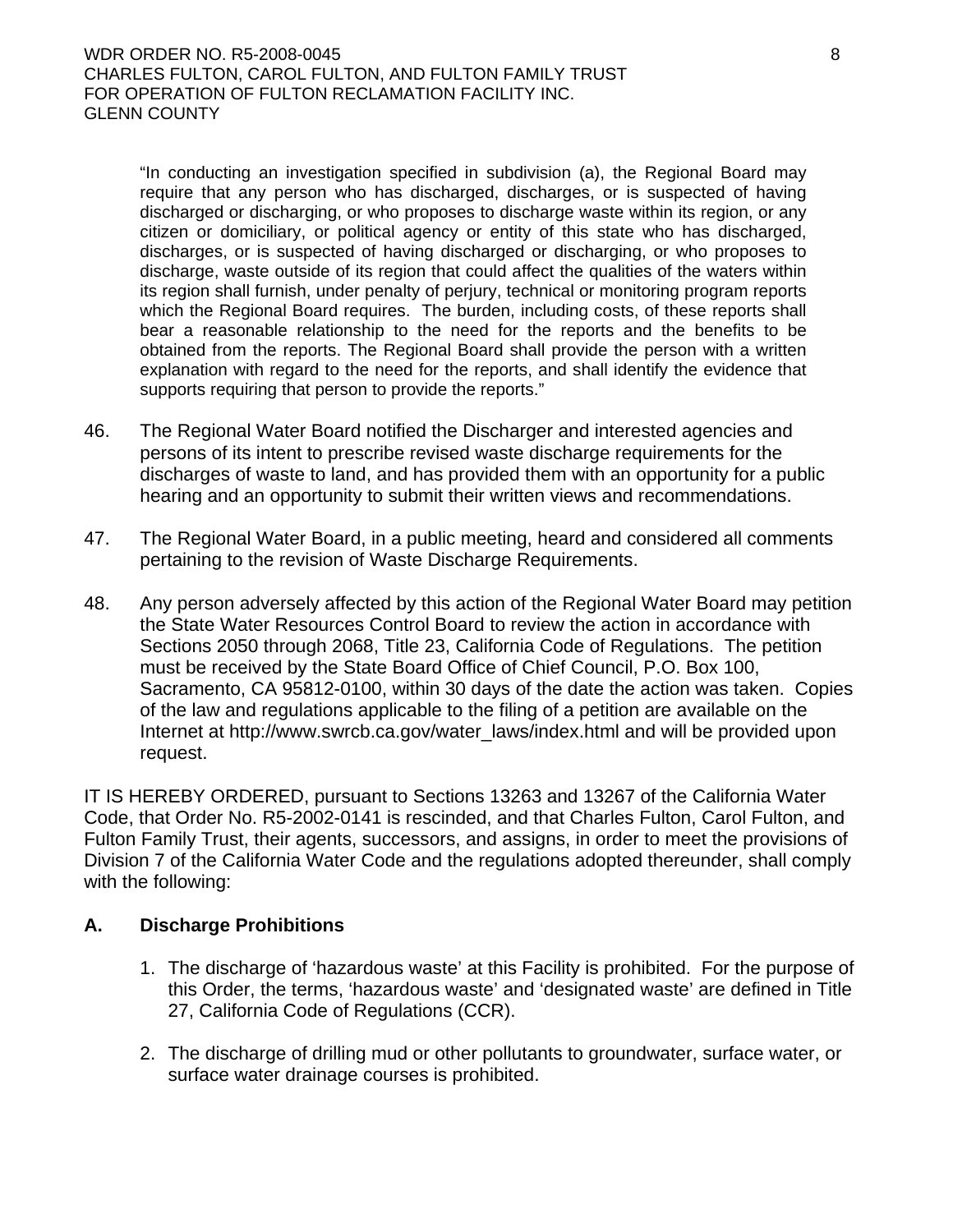"In conducting an investigation specified in subdivision (a), the Regional Board may require that any person who has discharged, discharges, or is suspected of having discharged or discharging, or who proposes to discharge waste within its region, or any citizen or domiciliary, or political agency or entity of this state who has discharged, discharges, or is suspected of having discharged or discharging, or who proposes to discharge, waste outside of its region that could affect the qualities of the waters within its region shall furnish, under penalty of perjury, technical or monitoring program reports which the Regional Board requires. The burden, including costs, of these reports shall bear a reasonable relationship to the need for the reports and the benefits to be obtained from the reports. The Regional Board shall provide the person with a written explanation with regard to the need for the reports, and shall identify the evidence that supports requiring that person to provide the reports."

- 46. The Regional Water Board notified the Discharger and interested agencies and persons of its intent to prescribe revised waste discharge requirements for the discharges of waste to land, and has provided them with an opportunity for a public hearing and an opportunity to submit their written views and recommendations.
- 47. The Regional Water Board, in a public meeting, heard and considered all comments pertaining to the revision of Waste Discharge Requirements.
- 48. Any person adversely affected by this action of the Regional Water Board may petition the State Water Resources Control Board to review the action in accordance with Sections 2050 through 2068, Title 23, California Code of Regulations. The petition must be received by the State Board Office of Chief Council, P.O. Box 100, Sacramento, CA 95812-0100, within 30 days of the date the action was taken. Copies of the law and regulations applicable to the filing of a petition are available on the Internet at [http://www.swrcb.ca.gov/water\\_laws/index.html](http://www.swrcb.ca.gov/water_laws/index.html) and will be provided upon request.

IT IS HEREBY ORDERED, pursuant to Sections 13263 and 13267 of the California Water Code, that Order No. R5-2002-0141 is rescinded, and that Charles Fulton, Carol Fulton, and Fulton Family Trust, their agents, successors, and assigns, in order to meet the provisions of Division 7 of the California Water Code and the regulations adopted thereunder, shall comply with the following:

### **A. Discharge Prohibitions**

- 1. The discharge of 'hazardous waste' at this Facility is prohibited. For the purpose of this Order, the terms, 'hazardous waste' and 'designated waste' are defined in Title 27, California Code of Regulations (CCR).
- 2. The discharge of drilling mud or other pollutants to groundwater, surface water, or surface water drainage courses is prohibited.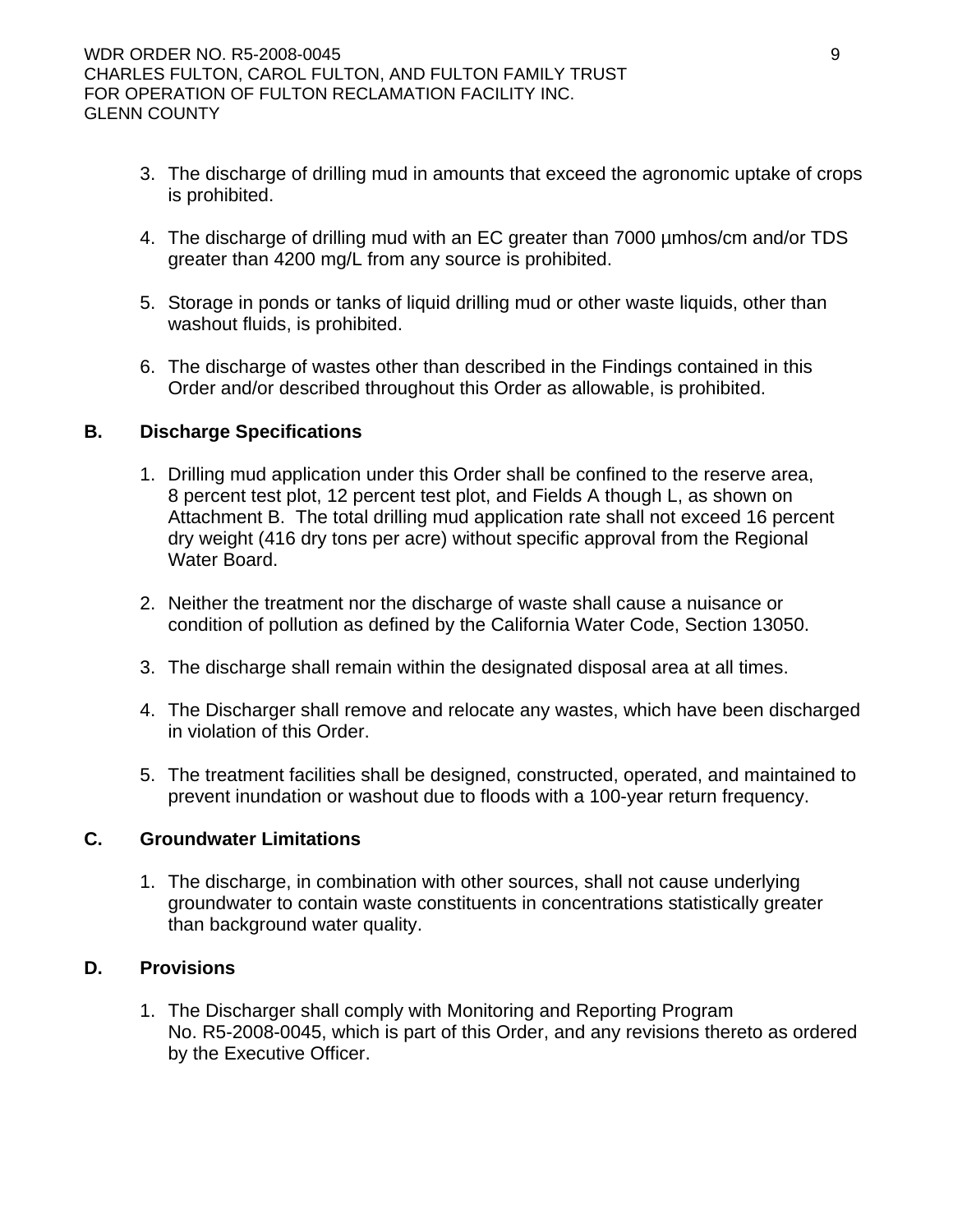- 3. The discharge of drilling mud in amounts that exceed the agronomic uptake of crops is prohibited.
- 4. The discharge of drilling mud with an EC greater than 7000 µmhos/cm and/or TDS greater than 4200 mg/L from any source is prohibited.
- 5. Storage in ponds or tanks of liquid drilling mud or other waste liquids, other than washout fluids, is prohibited.
- 6. The discharge of wastes other than described in the Findings contained in this Order and/or described throughout this Order as allowable, is prohibited.

### **B. Discharge Specifications**

- 1. Drilling mud application under this Order shall be confined to the reserve area, 8 percent test plot, 12 percent test plot, and Fields A though L, as shown on Attachment B. The total drilling mud application rate shall not exceed 16 percent dry weight (416 dry tons per acre) without specific approval from the Regional Water Board.
- 2. Neither the treatment nor the discharge of waste shall cause a nuisance or condition of pollution as defined by the California Water Code, Section 13050.
- 3. The discharge shall remain within the designated disposal area at all times.
- 4. The Discharger shall remove and relocate any wastes, which have been discharged in violation of this Order.
- 5. The treatment facilities shall be designed, constructed, operated, and maintained to prevent inundation or washout due to floods with a 100-year return frequency.

### **C. Groundwater Limitations**

1. The discharge, in combination with other sources, shall not cause underlying groundwater to contain waste constituents in concentrations statistically greater than background water quality.

## **D. Provisions**

1. The Discharger shall comply with Monitoring and Reporting Program No. R5-2008-0045, which is part of this Order, and any revisions thereto as ordered by the Executive Officer.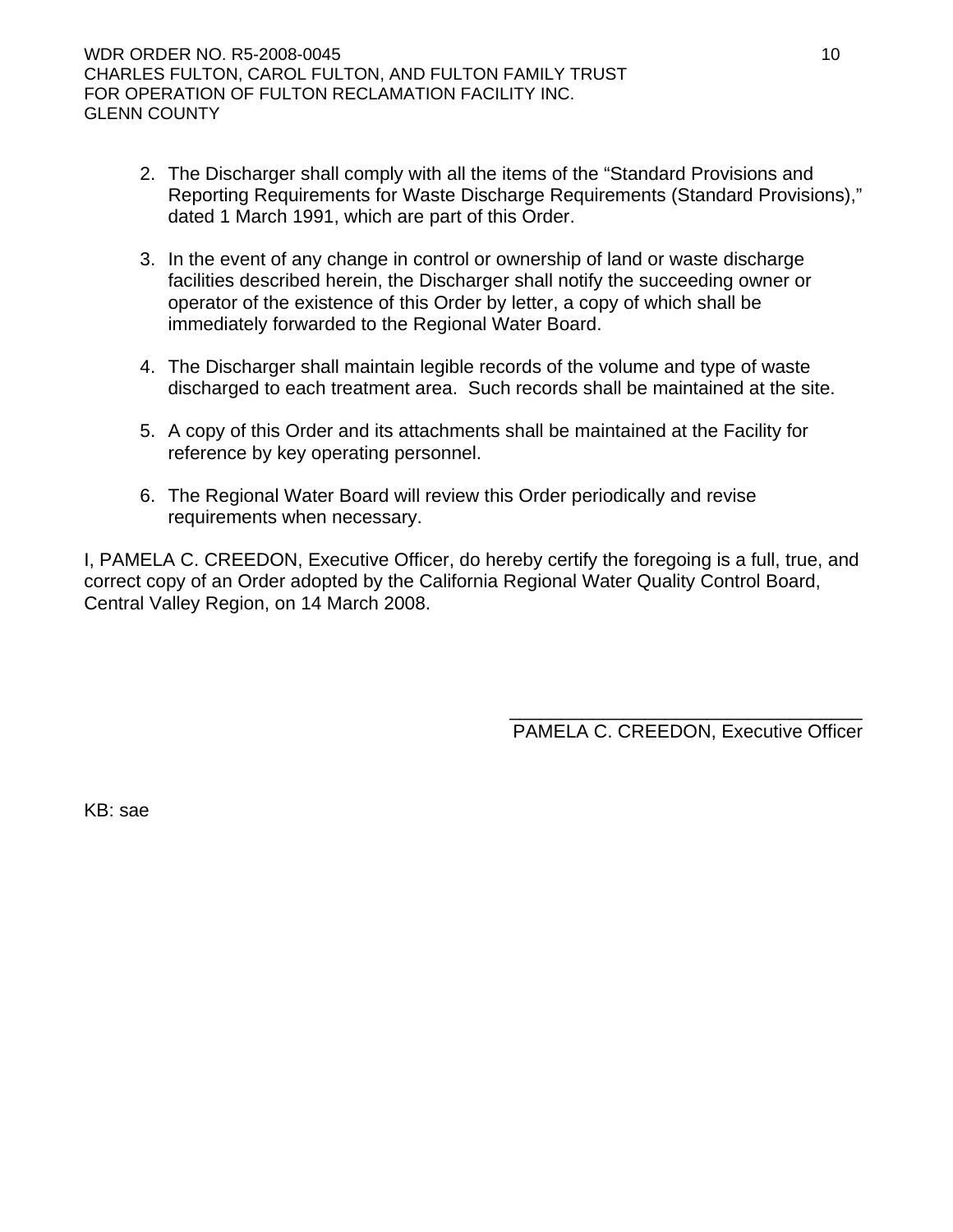- 2. The Discharger shall comply with all the items of the "Standard Provisions and Reporting Requirements for Waste Discharge Requirements (Standard Provisions)," dated 1 March 1991, which are part of this Order.
- 3. In the event of any change in control or ownership of land or waste discharge facilities described herein, the Discharger shall notify the succeeding owner or operator of the existence of this Order by letter, a copy of which shall be immediately forwarded to the Regional Water Board.
- 4. The Discharger shall maintain legible records of the volume and type of waste discharged to each treatment area. Such records shall be maintained at the site.
- 5. A copy of this Order and its attachments shall be maintained at the Facility for reference by key operating personnel.
- 6. The Regional Water Board will review this Order periodically and revise requirements when necessary.

I, PAMELA C. CREEDON, Executive Officer, do hereby certify the foregoing is a full, true, and correct copy of an Order adopted by the California Regional Water Quality Control Board, Central Valley Region, on 14 March 2008.

> \_\_\_\_\_\_\_\_\_\_\_\_\_\_\_\_\_\_\_\_\_\_\_\_\_\_\_\_\_\_\_\_\_\_ PAMELA C. CREEDON, Executive Officer

KB: sae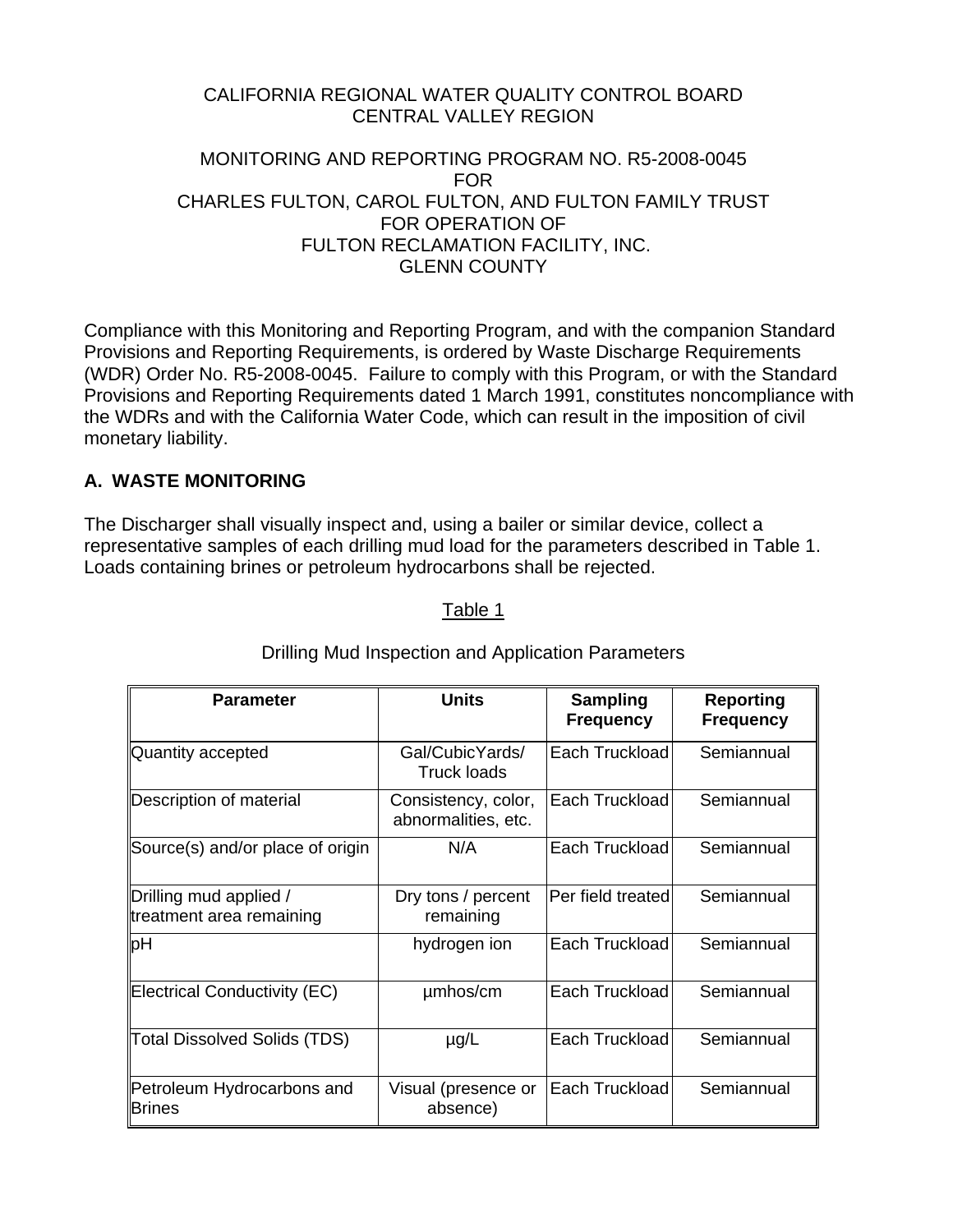## CALIFORNIA REGIONAL WATER QUALITY CONTROL BOARD CENTRAL VALLEY REGION

#### MONITORING AND REPORTING PROGRAM NO. R5-2008-0045 FOR CHARLES FULTON, CAROL FULTON, AND FULTON FAMILY TRUST FOR OPERATION OF FULTON RECLAMATION FACILITY, INC. GLENN COUNTY

Compliance with this Monitoring and Reporting Program, and with the companion Standard Provisions and Reporting Requirements, is ordered by Waste Discharge Requirements (WDR) Order No. R5-2008-0045. Failure to comply with this Program, or with the Standard Provisions and Reporting Requirements dated 1 March 1991, constitutes noncompliance with the WDRs and with the California Water Code, which can result in the imposition of civil monetary liability.

# **A. WASTE MONITORING**

The Discharger shall visually inspect and, using a bailer or similar device, collect a representative samples of each drilling mud load for the parameters described in Table 1. Loads containing brines or petroleum hydrocarbons shall be rejected.

#### Table 1

| <b>Parameter</b>                                   | <b>Units</b>                               | <b>Sampling</b><br><b>Frequency</b> | <b>Reporting</b><br><b>Frequency</b> |
|----------------------------------------------------|--------------------------------------------|-------------------------------------|--------------------------------------|
| Quantity accepted                                  | Gal/CubicYards/<br><b>Truck loads</b>      | Each Truckload                      | Semiannual                           |
| Description of material                            | Consistency, color,<br>abnormalities, etc. | Each Truckload                      | Semiannual                           |
| Source(s) and/or place of origin                   | N/A                                        | Each Truckload                      | Semiannual                           |
| Drilling mud applied /<br>treatment area remaining | Dry tons / percent<br>remaining            | Per field treated                   | Semiannual                           |
| pH                                                 | hydrogen ion                               | Each Truckload                      | Semiannual                           |
| Electrical Conductivity (EC)                       | umhos/cm                                   | Each Truckload                      | Semiannual                           |
| Total Dissolved Solids (TDS)                       | $\mu$ g/L                                  | Each Truckload                      | Semiannual                           |
| Petroleum Hydrocarbons and<br><b>Brines</b>        | Visual (presence or<br>absence)            | Each Truckload                      | Semiannual                           |

# Drilling Mud Inspection and Application Parameters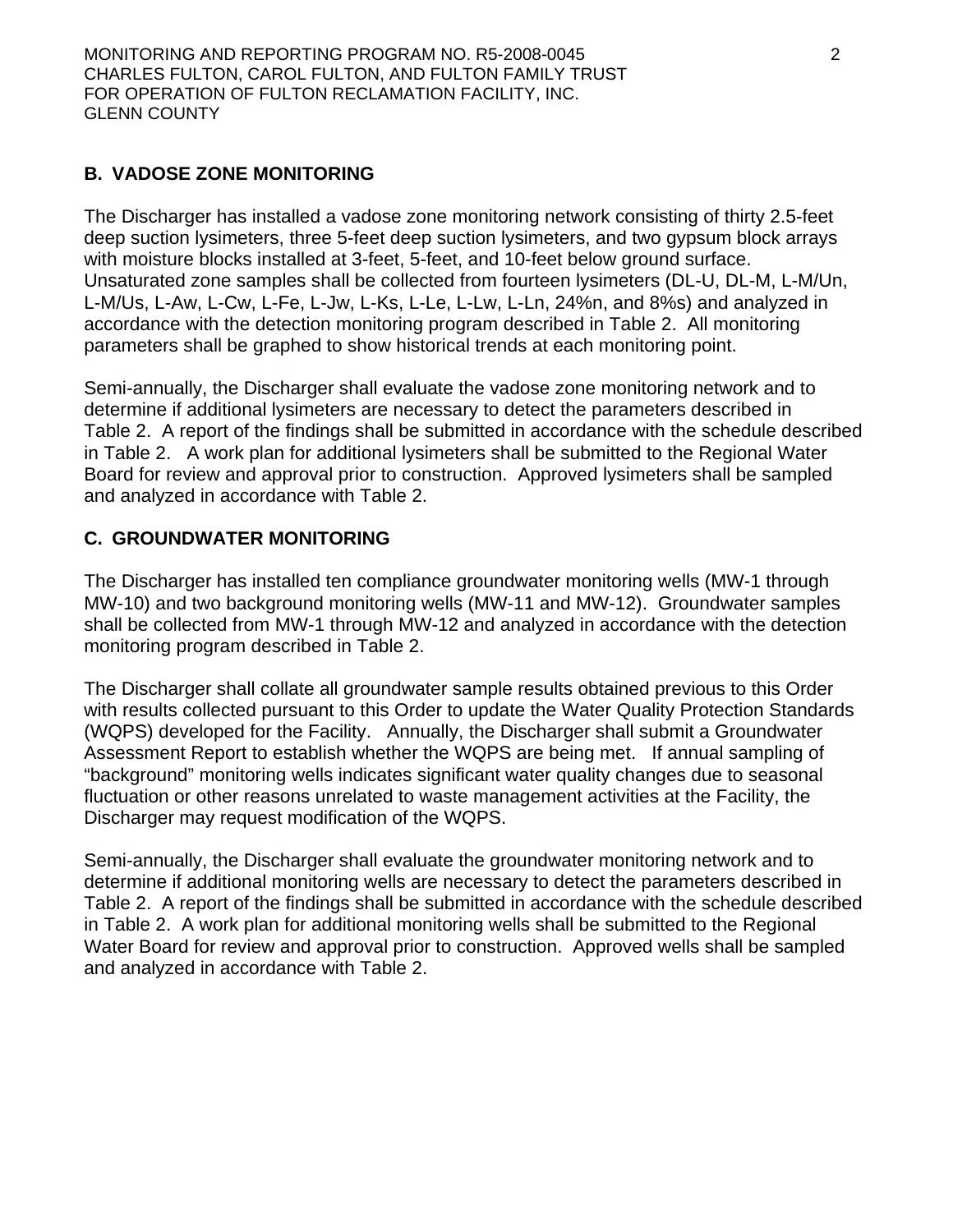# **B. VADOSE ZONE MONITORING**

The Discharger has installed a vadose zone monitoring network consisting of thirty 2.5-feet deep suction lysimeters, three 5-feet deep suction lysimeters, and two gypsum block arrays with moisture blocks installed at 3-feet, 5-feet, and 10-feet below ground surface. Unsaturated zone samples shall be collected from fourteen lysimeters (DL-U, DL-M, L-M/Un, L-M/Us, L-Aw, L-Cw, L-Fe, L-Jw, L-Ks, L-Le, L-Lw, L-Ln, 24%n, and 8%s) and analyzed in accordance with the detection monitoring program described in Table 2. All monitoring parameters shall be graphed to show historical trends at each monitoring point.

Semi-annually, the Discharger shall evaluate the vadose zone monitoring network and to determine if additional lysimeters are necessary to detect the parameters described in Table 2. A report of the findings shall be submitted in accordance with the schedule described in Table 2. A work plan for additional lysimeters shall be submitted to the Regional Water Board for review and approval prior to construction. Approved lysimeters shall be sampled and analyzed in accordance with Table 2.

# **C. GROUNDWATER MONITORING**

The Discharger has installed ten compliance groundwater monitoring wells (MW-1 through MW-10) and two background monitoring wells (MW-11 and MW-12). Groundwater samples shall be collected from MW-1 through MW-12 and analyzed in accordance with the detection monitoring program described in Table 2.

The Discharger shall collate all groundwater sample results obtained previous to this Order with results collected pursuant to this Order to update the Water Quality Protection Standards (WQPS) developed for the Facility. Annually, the Discharger shall submit a Groundwater Assessment Report to establish whether the WQPS are being met. If annual sampling of "background" monitoring wells indicates significant water quality changes due to seasonal fluctuation or other reasons unrelated to waste management activities at the Facility, the Discharger may request modification of the WQPS.

Semi-annually, the Discharger shall evaluate the groundwater monitoring network and to determine if additional monitoring wells are necessary to detect the parameters described in Table 2. A report of the findings shall be submitted in accordance with the schedule described in Table 2. A work plan for additional monitoring wells shall be submitted to the Regional Water Board for review and approval prior to construction. Approved wells shall be sampled and analyzed in accordance with Table 2.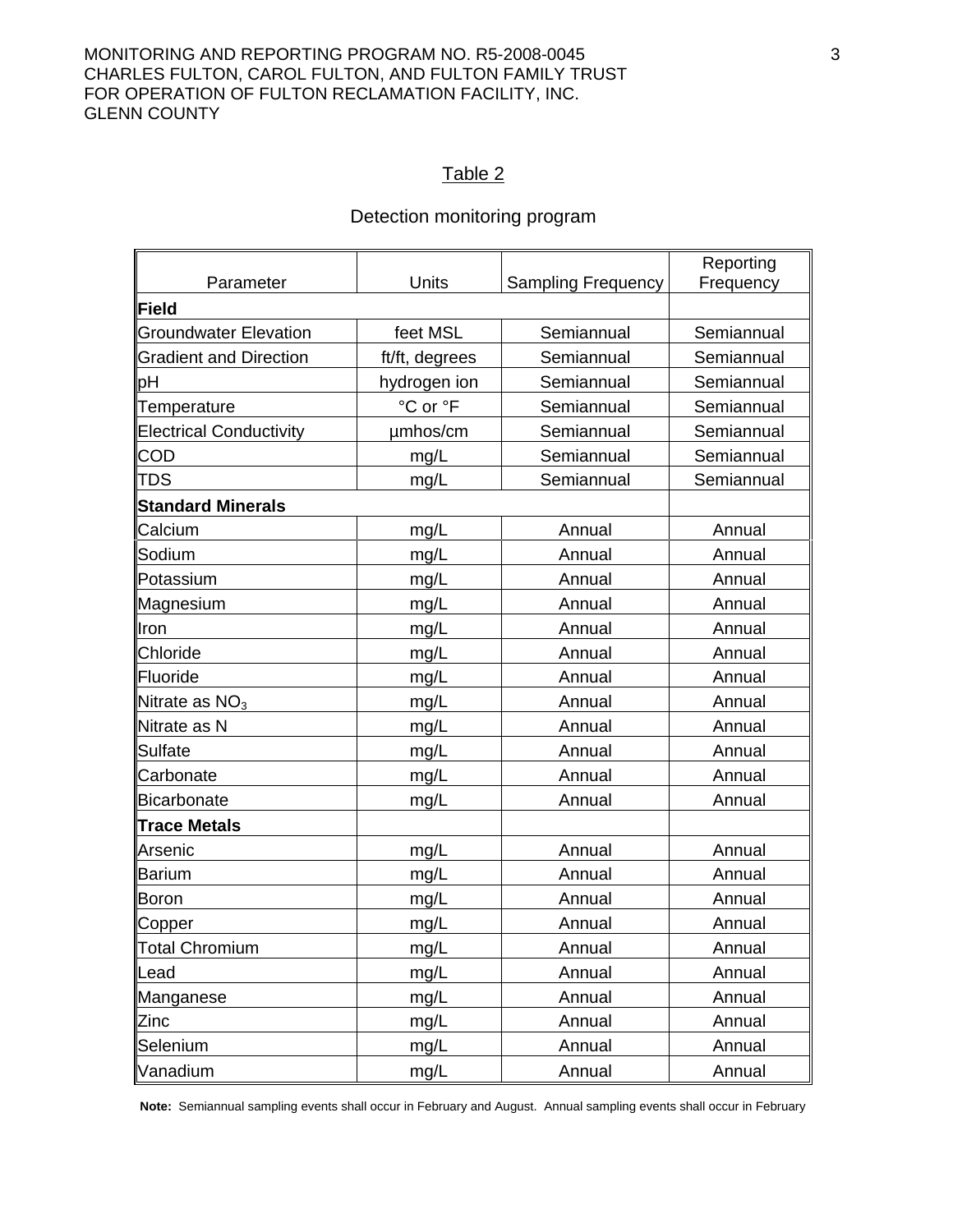#### MONITORING AND REPORTING PROGRAM NO. R5-2008-0045 3 CHARLES FULTON, CAROL FULTON, AND FULTON FAMILY TRUST FOR OPERATION OF FULTON RECLAMATION FACILITY, INC. GLENN COUNTY

#### Table 2

## Detection monitoring program

| Parameter                      | Units          | <b>Sampling Frequency</b> | Reporting<br>Frequency |
|--------------------------------|----------------|---------------------------|------------------------|
| Field                          |                |                           |                        |
| <b>Groundwater Elevation</b>   | feet MSL       | Semiannual                | Semiannual             |
| <b>Gradient and Direction</b>  | ft/ft, degrees | Semiannual                | Semiannual             |
| рH                             | hydrogen ion   | Semiannual                | Semiannual             |
| Temperature                    | °C or °F       | Semiannual                | Semiannual             |
| <b>Electrical Conductivity</b> | umhos/cm       | Semiannual                | Semiannual             |
| <b>COD</b>                     | mg/L           | Semiannual                | Semiannual             |
| <b>TDS</b>                     | mg/L           | Semiannual                | Semiannual             |
| <b>Standard Minerals</b>       |                |                           |                        |
| Calcium                        | mg/L           | Annual                    | Annual                 |
| Sodium                         | mg/L           | Annual                    | Annual                 |
| Potassium                      | mg/L           | Annual                    | Annual                 |
| Magnesium                      | mg/L           | Annual                    | Annual                 |
| Iron                           | mg/L           | Annual                    | Annual                 |
| Chloride                       | mg/L           | Annual                    | Annual                 |
| Fluoride                       | mg/L           | Annual                    | Annual                 |
| Nitrate as $NO3$               | mg/L           | Annual                    | Annual                 |
| Nitrate as N                   | mg/L           | Annual                    | Annual                 |
| Sulfate                        | mg/L           | Annual                    | Annual                 |
| Carbonate                      | mg/L           | Annual                    | Annual                 |
| Bicarbonate                    | mg/L           | Annual                    | Annual                 |
| <b>Trace Metals</b>            |                |                           |                        |
| Arsenic                        | mg/L           | Annual                    | Annual                 |
| <b>Barium</b>                  | mg/L           | Annual                    | Annual                 |
| Boron                          | mg/L           | Annual                    | Annual                 |
| Copper                         | mg/L           | Annual                    | Annual                 |
| Total Chromium                 | mg/L           | Annual                    | Annual                 |
| Lead                           | mg/L           | Annual                    | Annual                 |
| Manganese                      | mg/L           | Annual                    | Annual                 |
| <b>Zinc</b>                    | mg/L           | Annual                    | Annual                 |
| Selenium                       | mg/L           | Annual                    | Annual                 |
| Vanadium                       | mg/L           | Annual                    | Annual                 |

**Note:** Semiannual sampling events shall occur in February and August. Annual sampling events shall occur in February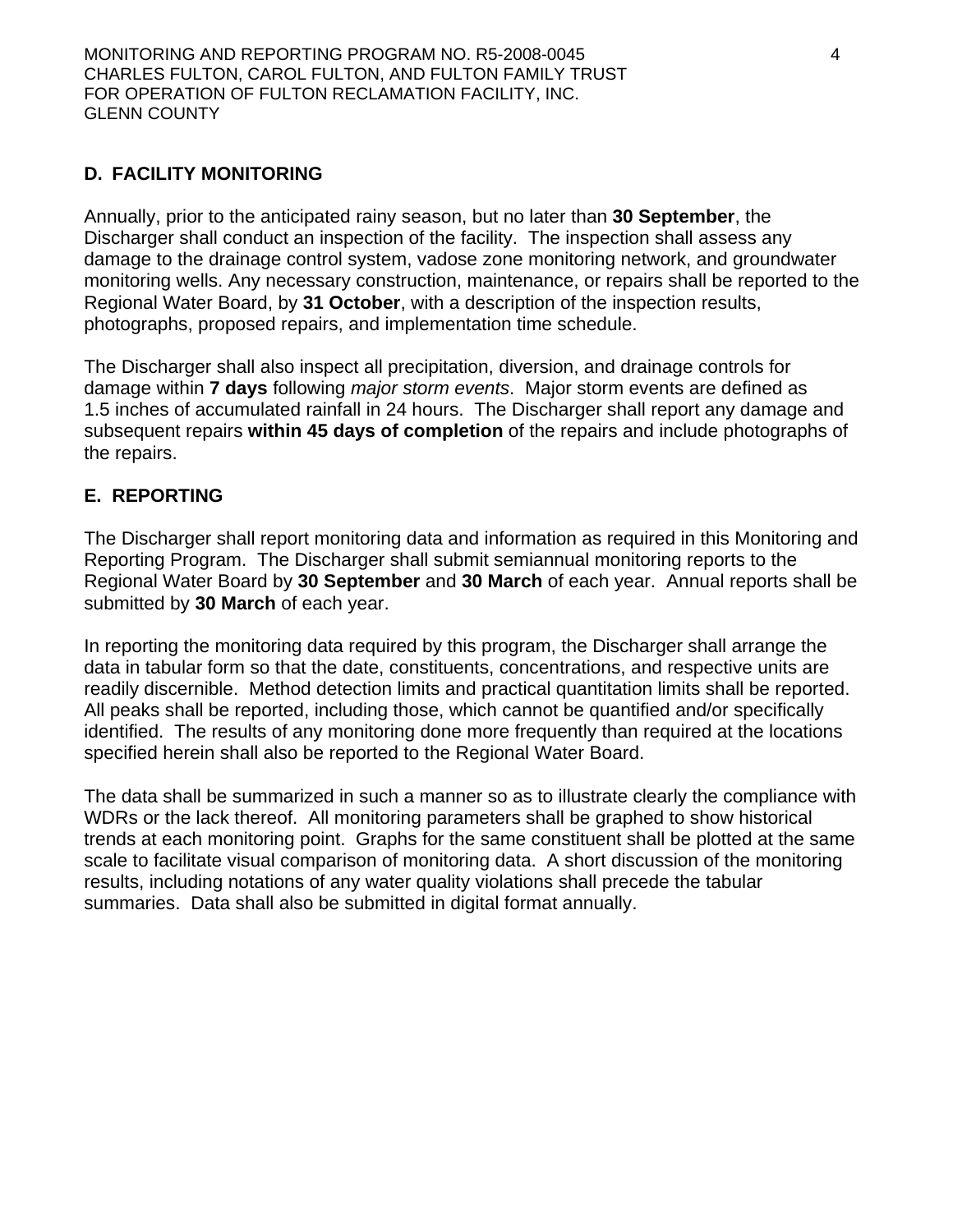# **D. FACILITY MONITORING**

Annually, prior to the anticipated rainy season, but no later than **30 September**, the Discharger shall conduct an inspection of the facility. The inspection shall assess any damage to the drainage control system, vadose zone monitoring network, and groundwater monitoring wells. Any necessary construction, maintenance, or repairs shall be reported to the Regional Water Board, by **31 October**, with a description of the inspection results, photographs, proposed repairs, and implementation time schedule.

The Discharger shall also inspect all precipitation, diversion, and drainage controls for damage within **7 days** following *major storm events*. Major storm events are defined as 1.5 inches of accumulated rainfall in 24 hours. The Discharger shall report any damage and subsequent repairs **within 45 days of completion** of the repairs and include photographs of the repairs.

## **E. REPORTING**

The Discharger shall report monitoring data and information as required in this Monitoring and Reporting Program. The Discharger shall submit semiannual monitoring reports to the Regional Water Board by **30 September** and **30 March** of each year. Annual reports shall be submitted by **30 March** of each year.

In reporting the monitoring data required by this program, the Discharger shall arrange the data in tabular form so that the date, constituents, concentrations, and respective units are readily discernible. Method detection limits and practical quantitation limits shall be reported. All peaks shall be reported, including those, which cannot be quantified and/or specifically identified. The results of any monitoring done more frequently than required at the locations specified herein shall also be reported to the Regional Water Board.

The data shall be summarized in such a manner so as to illustrate clearly the compliance with WDRs or the lack thereof. All monitoring parameters shall be graphed to show historical trends at each monitoring point. Graphs for the same constituent shall be plotted at the same scale to facilitate visual comparison of monitoring data. A short discussion of the monitoring results, including notations of any water quality violations shall precede the tabular summaries. Data shall also be submitted in digital format annually.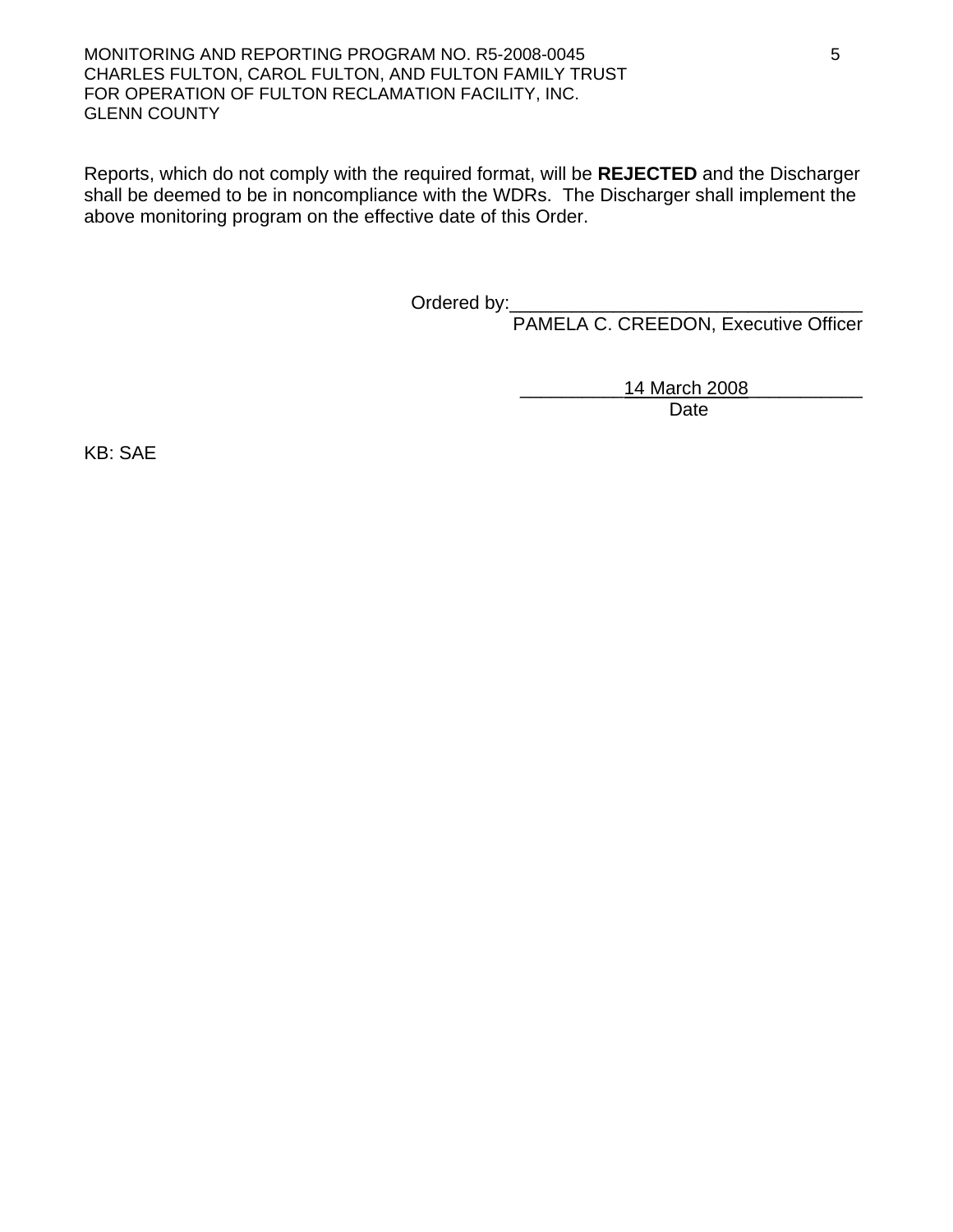MONITORING AND REPORTING PROGRAM NO. R5-2008-0045 5 CHARLES FULTON, CAROL FULTON, AND FULTON FAMILY TRUST FOR OPERATION OF FULTON RECLAMATION FACILITY, INC. GLENN COUNTY

Reports, which do not comply with the required format, will be **REJECTED** and the Discharger shall be deemed to be in noncompliance with the WDRs. The Discharger shall implement the above monitoring program on the effective date of this Order.

Ordered by:\_\_\_\_\_\_\_\_\_\_\_\_\_\_\_\_\_\_\_\_\_\_\_\_\_\_\_\_\_\_\_\_\_\_

PAMELA C. CREEDON, Executive Officer

14 March 2008

Date

KB: SAE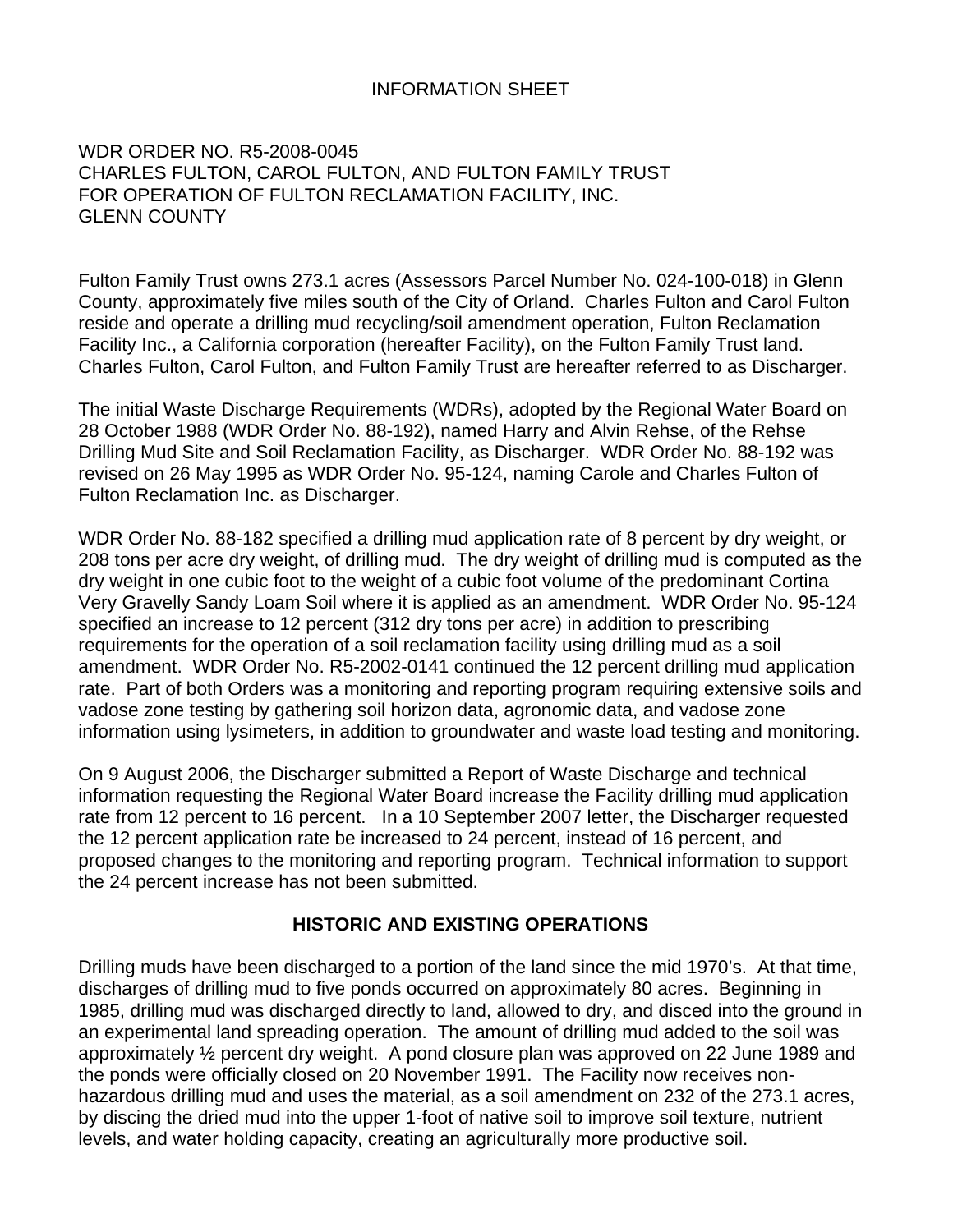## INFORMATION SHEET

#### WDR ORDER NO. R5-2008-0045 CHARLES FULTON, CAROL FULTON, AND FULTON FAMILY TRUST FOR OPERATION OF FULTON RECLAMATION FACILITY, INC. GLENN COUNTY

Fulton Family Trust owns 273.1 acres (Assessors Parcel Number No. 024-100-018) in Glenn County, approximately five miles south of the City of Orland. Charles Fulton and Carol Fulton reside and operate a drilling mud recycling/soil amendment operation, Fulton Reclamation Facility Inc., a California corporation (hereafter Facility), on the Fulton Family Trust land. Charles Fulton, Carol Fulton, and Fulton Family Trust are hereafter referred to as Discharger.

The initial Waste Discharge Requirements (WDRs), adopted by the Regional Water Board on 28 October 1988 (WDR Order No. 88-192), named Harry and Alvin Rehse, of the Rehse Drilling Mud Site and Soil Reclamation Facility, as Discharger. WDR Order No. 88-192 was revised on 26 May 1995 as WDR Order No. 95-124, naming Carole and Charles Fulton of Fulton Reclamation Inc. as Discharger.

WDR Order No. 88-182 specified a drilling mud application rate of 8 percent by dry weight, or 208 tons per acre dry weight, of drilling mud. The dry weight of drilling mud is computed as the dry weight in one cubic foot to the weight of a cubic foot volume of the predominant Cortina Very Gravelly Sandy Loam Soil where it is applied as an amendment. WDR Order No. 95-124 specified an increase to 12 percent (312 dry tons per acre) in addition to prescribing requirements for the operation of a soil reclamation facility using drilling mud as a soil amendment. WDR Order No. R5-2002-0141 continued the 12 percent drilling mud application rate. Part of both Orders was a monitoring and reporting program requiring extensive soils and vadose zone testing by gathering soil horizon data, agronomic data, and vadose zone information using lysimeters, in addition to groundwater and waste load testing and monitoring.

On 9 August 2006, the Discharger submitted a Report of Waste Discharge and technical information requesting the Regional Water Board increase the Facility drilling mud application rate from 12 percent to 16 percent. In a 10 September 2007 letter, the Discharger requested the 12 percent application rate be increased to 24 percent, instead of 16 percent, and proposed changes to the monitoring and reporting program. Technical information to support the 24 percent increase has not been submitted.

### **HISTORIC AND EXISTING OPERATIONS**

Drilling muds have been discharged to a portion of the land since the mid 1970's. At that time, discharges of drilling mud to five ponds occurred on approximately 80 acres. Beginning in 1985, drilling mud was discharged directly to land, allowed to dry, and disced into the ground in an experimental land spreading operation. The amount of drilling mud added to the soil was approximately ½ percent dry weight. A pond closure plan was approved on 22 June 1989 and the ponds were officially closed on 20 November 1991. The Facility now receives nonhazardous drilling mud and uses the material, as a soil amendment on 232 of the 273.1 acres, by discing the dried mud into the upper 1-foot of native soil to improve soil texture, nutrient levels, and water holding capacity, creating an agriculturally more productive soil.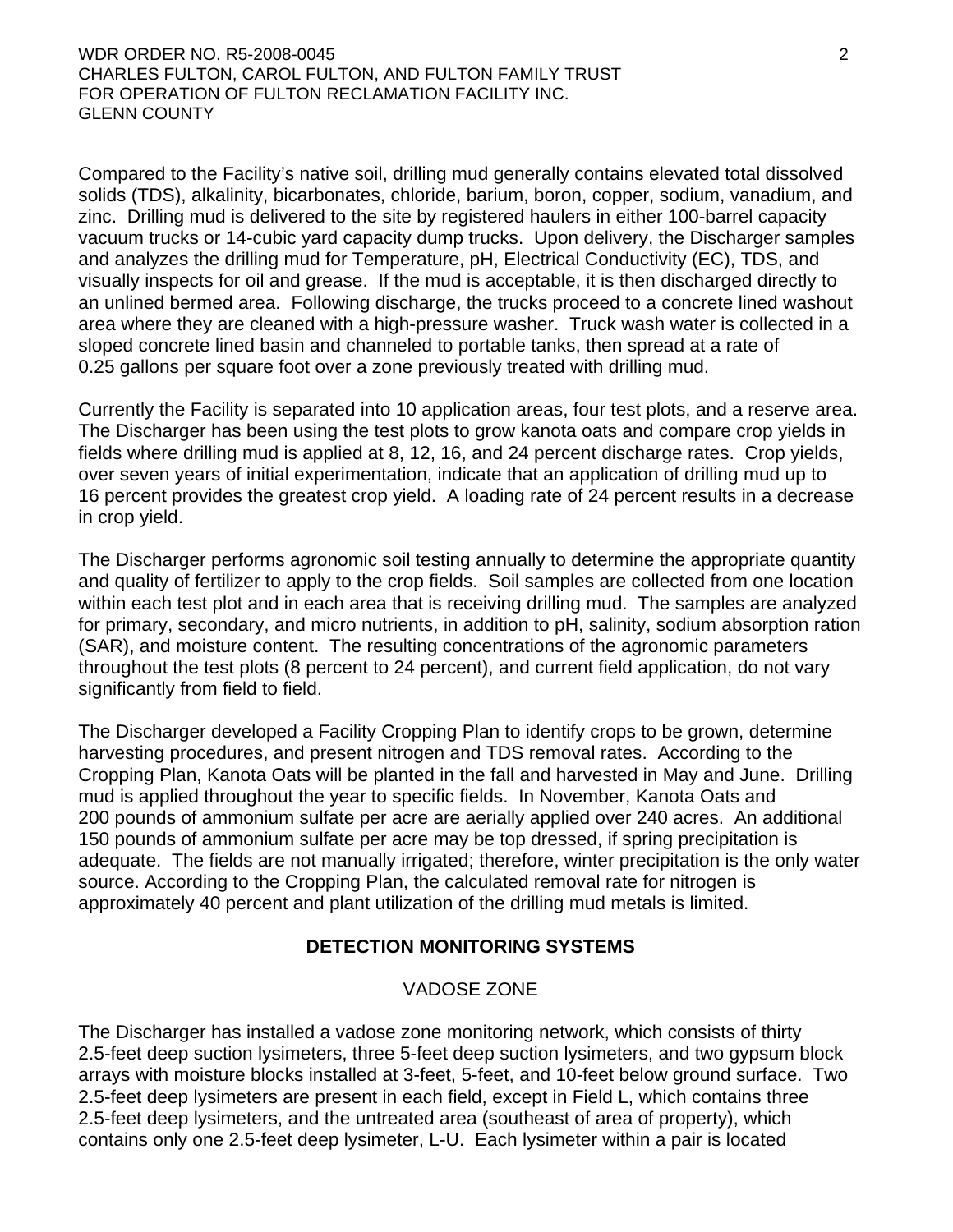Compared to the Facility's native soil, drilling mud generally contains elevated total dissolved solids (TDS), alkalinity, bicarbonates, chloride, barium, boron, copper, sodium, vanadium, and zinc. Drilling mud is delivered to the site by registered haulers in either 100-barrel capacity vacuum trucks or 14-cubic yard capacity dump trucks. Upon delivery, the Discharger samples and analyzes the drilling mud for Temperature, pH, Electrical Conductivity (EC), TDS, and visually inspects for oil and grease. If the mud is acceptable, it is then discharged directly to an unlined bermed area. Following discharge, the trucks proceed to a concrete lined washout area where they are cleaned with a high-pressure washer. Truck wash water is collected in a sloped concrete lined basin and channeled to portable tanks, then spread at a rate of 0.25 gallons per square foot over a zone previously treated with drilling mud.

Currently the Facility is separated into 10 application areas, four test plots, and a reserve area. The Discharger has been using the test plots to grow kanota oats and compare crop yields in fields where drilling mud is applied at 8, 12, 16, and 24 percent discharge rates. Crop yields, over seven years of initial experimentation, indicate that an application of drilling mud up to 16 percent provides the greatest crop yield. A loading rate of 24 percent results in a decrease in crop yield.

The Discharger performs agronomic soil testing annually to determine the appropriate quantity and quality of fertilizer to apply to the crop fields. Soil samples are collected from one location within each test plot and in each area that is receiving drilling mud. The samples are analyzed for primary, secondary, and micro nutrients, in addition to pH, salinity, sodium absorption ration (SAR), and moisture content. The resulting concentrations of the agronomic parameters throughout the test plots (8 percent to 24 percent), and current field application, do not vary significantly from field to field.

The Discharger developed a Facility Cropping Plan to identify crops to be grown, determine harvesting procedures, and present nitrogen and TDS removal rates. According to the Cropping Plan, Kanota Oats will be planted in the fall and harvested in May and June. Drilling mud is applied throughout the year to specific fields. In November, Kanota Oats and 200 pounds of ammonium sulfate per acre are aerially applied over 240 acres. An additional 150 pounds of ammonium sulfate per acre may be top dressed, if spring precipitation is adequate. The fields are not manually irrigated; therefore, winter precipitation is the only water source. According to the Cropping Plan, the calculated removal rate for nitrogen is approximately 40 percent and plant utilization of the drilling mud metals is limited.

### **DETECTION MONITORING SYSTEMS**

### VADOSE ZONE

The Discharger has installed a vadose zone monitoring network, which consists of thirty 2.5-feet deep suction lysimeters, three 5-feet deep suction lysimeters, and two gypsum block arrays with moisture blocks installed at 3-feet, 5-feet, and 10-feet below ground surface. Two 2.5-feet deep lysimeters are present in each field, except in Field L, which contains three 2.5-feet deep lysimeters, and the untreated area (southeast of area of property), which contains only one 2.5-feet deep lysimeter, L-U. Each lysimeter within a pair is located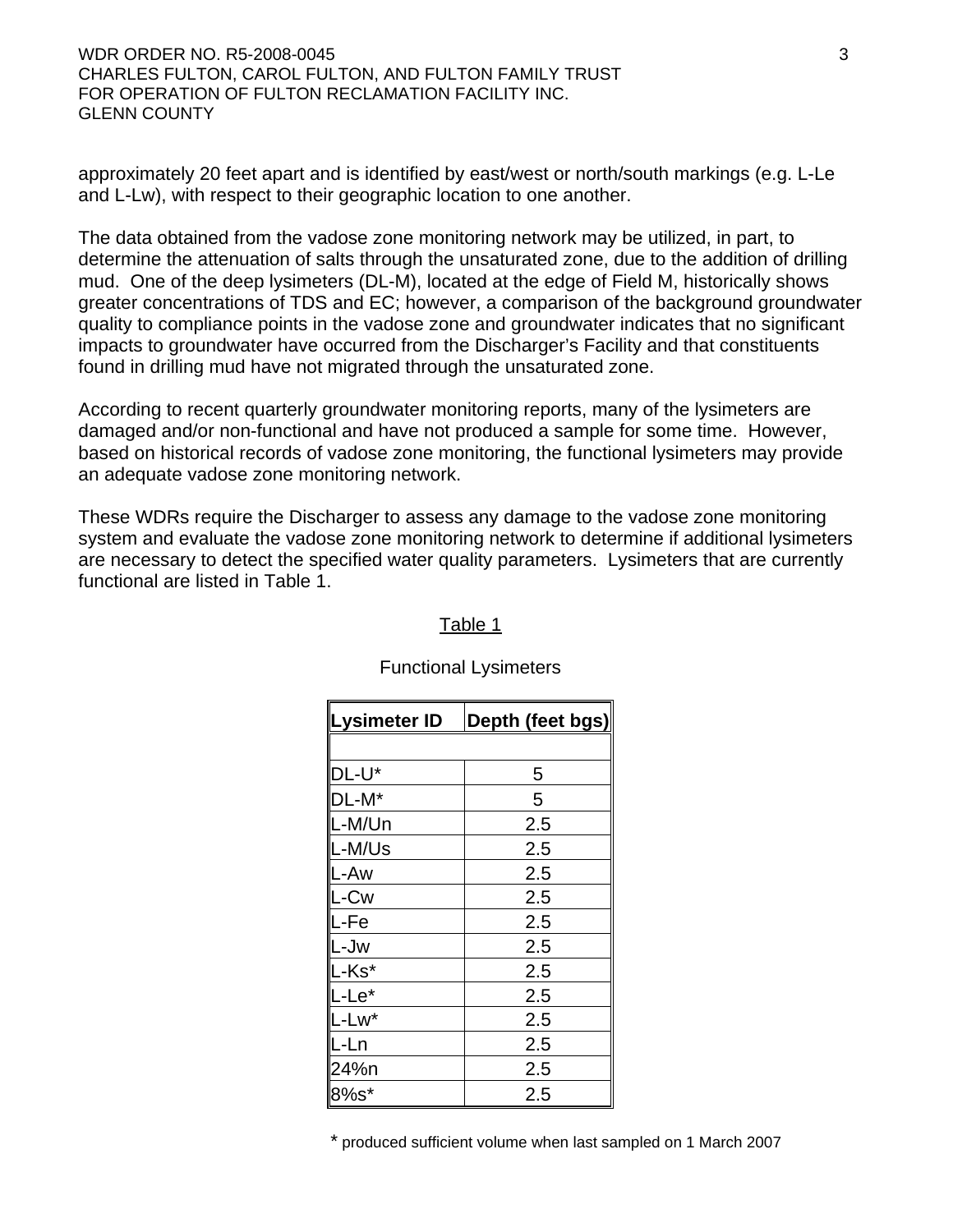WDR ORDER NO. R5-2008-0045 3 CHARLES FULTON, CAROL FULTON, AND FULTON FAMILY TRUST FOR OPERATION OF FULTON RECLAMATION FACILITY INC. GLENN COUNTY

approximately 20 feet apart and is identified by east/west or north/south markings (e.g. L-Le and L-Lw), with respect to their geographic location to one another.

The data obtained from the vadose zone monitoring network may be utilized, in part, to determine the attenuation of salts through the unsaturated zone, due to the addition of drilling mud. One of the deep lysimeters (DL-M), located at the edge of Field M, historically shows greater concentrations of TDS and EC; however, a comparison of the background groundwater quality to compliance points in the vadose zone and groundwater indicates that no significant impacts to groundwater have occurred from the Discharger's Facility and that constituents found in drilling mud have not migrated through the unsaturated zone.

According to recent quarterly groundwater monitoring reports, many of the lysimeters are damaged and/or non-functional and have not produced a sample for some time. However, based on historical records of vadose zone monitoring, the functional lysimeters may provide an adequate vadose zone monitoring network.

These WDRs require the Discharger to assess any damage to the vadose zone monitoring system and evaluate the vadose zone monitoring network to determine if additional lysimeters are necessary to detect the specified water quality parameters. Lysimeters that are currently functional are listed in Table 1.

| Lysimeter ID | Depth (feet bgs) |
|--------------|------------------|
|              |                  |
| DL-U*        | 5                |
| $DL-M^*$     | 5                |
| L-M/Un       | 2.5              |
| L-M/Us       | 2.5              |
| L-Aw         | 2.5              |
| _-Cw         | 2.5              |
| L-Fe         | 2.5              |
| L-Jw         | 2.5              |
| -Ks*         | 2.5              |
| L-Le*        | 2.5              |
| L-Lw*        | 2.5              |
| L-Ln         | 2.5              |
| 24%n         | 2.5              |
| 8%s*         | 2.5              |

### Table 1

Functional Lysimeters

\* produced sufficient volume when last sampled on 1 March 2007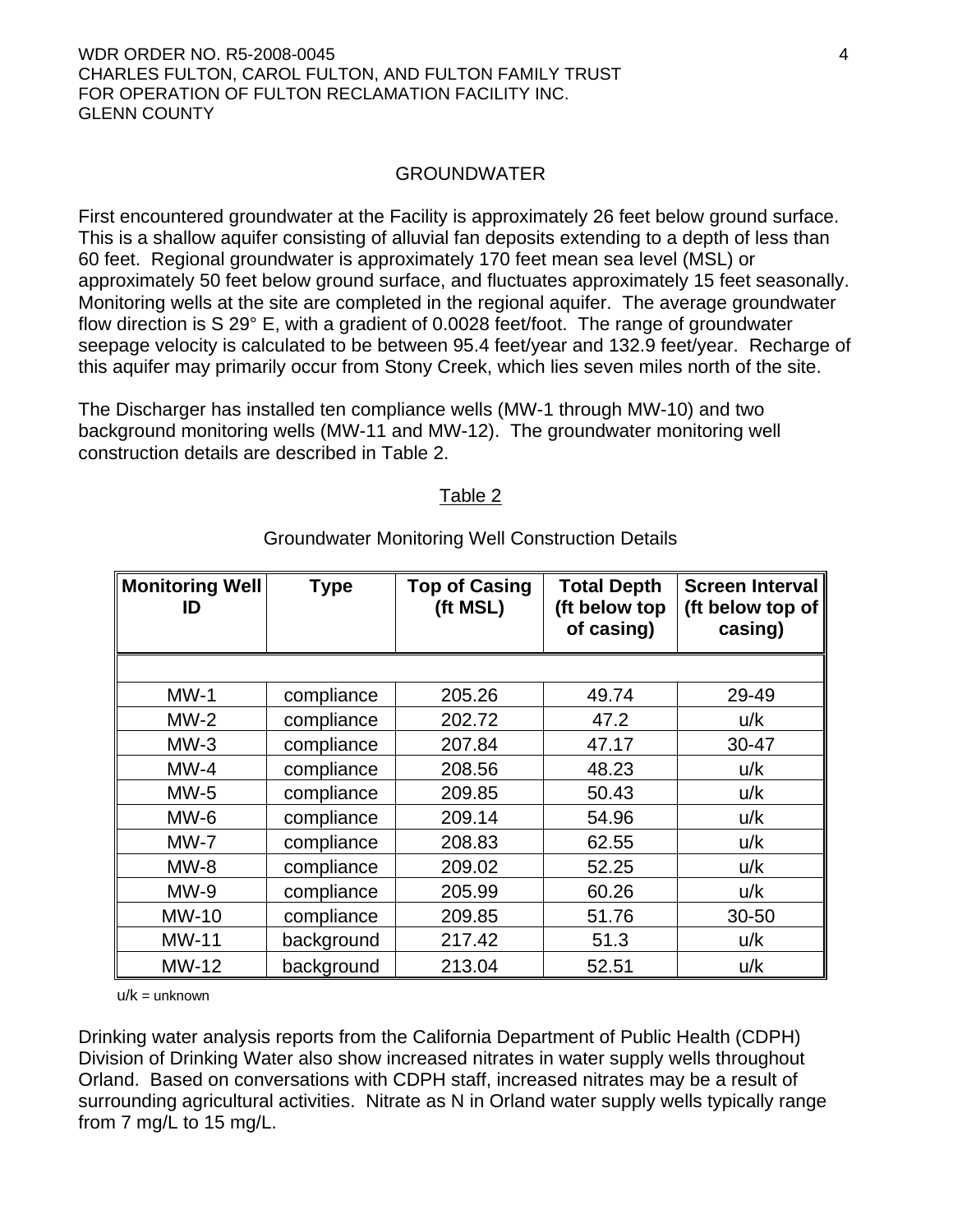#### GROUNDWATER

First encountered groundwater at the Facility is approximately 26 feet below ground surface. This is a shallow aquifer consisting of alluvial fan deposits extending to a depth of less than 60 feet. Regional groundwater is approximately 170 feet mean sea level (MSL) or approximately 50 feet below ground surface, and fluctuates approximately 15 feet seasonally. Monitoring wells at the site are completed in the regional aquifer. The average groundwater flow direction is S 29° E, with a gradient of 0.0028 feet/foot. The range of groundwater seepage velocity is calculated to be between 95.4 feet/year and 132.9 feet/year. Recharge of this aquifer may primarily occur from Stony Creek, which lies seven miles north of the site.

The Discharger has installed ten compliance wells (MW-1 through MW-10) and two background monitoring wells (MW-11 and MW-12). The groundwater monitoring well construction details are described in Table 2.

#### Table 2

| <b>Monitoring Well</b><br>ID | <b>Type</b> | <b>Top of Casing</b><br>(ft MSL) | <b>Total Depth</b><br>(ft below top<br>of casing) | <b>Screen Interval</b><br>(ft below top of<br>casing) |
|------------------------------|-------------|----------------------------------|---------------------------------------------------|-------------------------------------------------------|
|                              |             |                                  |                                                   |                                                       |
| $MW-1$                       | compliance  | 205.26                           | 49.74                                             | 29-49                                                 |
| $MW-2$                       | compliance  | 202.72                           | 47.2                                              | u/k                                                   |
| $MW-3$                       | compliance  | 207.84                           | 47.17                                             | 30-47                                                 |
| $MW-4$                       | compliance  | 208.56                           | 48.23                                             | u/k                                                   |
| $MW-5$                       | compliance  | 209.85                           | 50.43                                             | u/k                                                   |
| $MW-6$                       | compliance  | 209.14                           | 54.96                                             | u/k                                                   |
| $MW-7$                       | compliance  | 208.83                           | 62.55                                             | u/k                                                   |
| $MW-8$                       | compliance  | 209.02                           | 52.25                                             | u/k                                                   |
| $MW-9$                       | compliance  | 205.99                           | 60.26                                             | u/k                                                   |
| <b>MW-10</b>                 | compliance  | 209.85                           | 51.76                                             | 30-50                                                 |
| <b>MW-11</b>                 | background  | 217.42                           | 51.3                                              | u/k                                                   |
| <b>MW-12</b>                 | background  | 213.04                           | 52.51                                             | u/k                                                   |

#### Groundwater Monitoring Well Construction Details

 $u/k =$ unknown

Drinking water analysis reports from the California Department of Public Health (CDPH) Division of Drinking Water also show increased nitrates in water supply wells throughout Orland. Based on conversations with CDPH staff, increased nitrates may be a result of surrounding agricultural activities. Nitrate as N in Orland water supply wells typically range from 7 mg/L to 15 mg/L.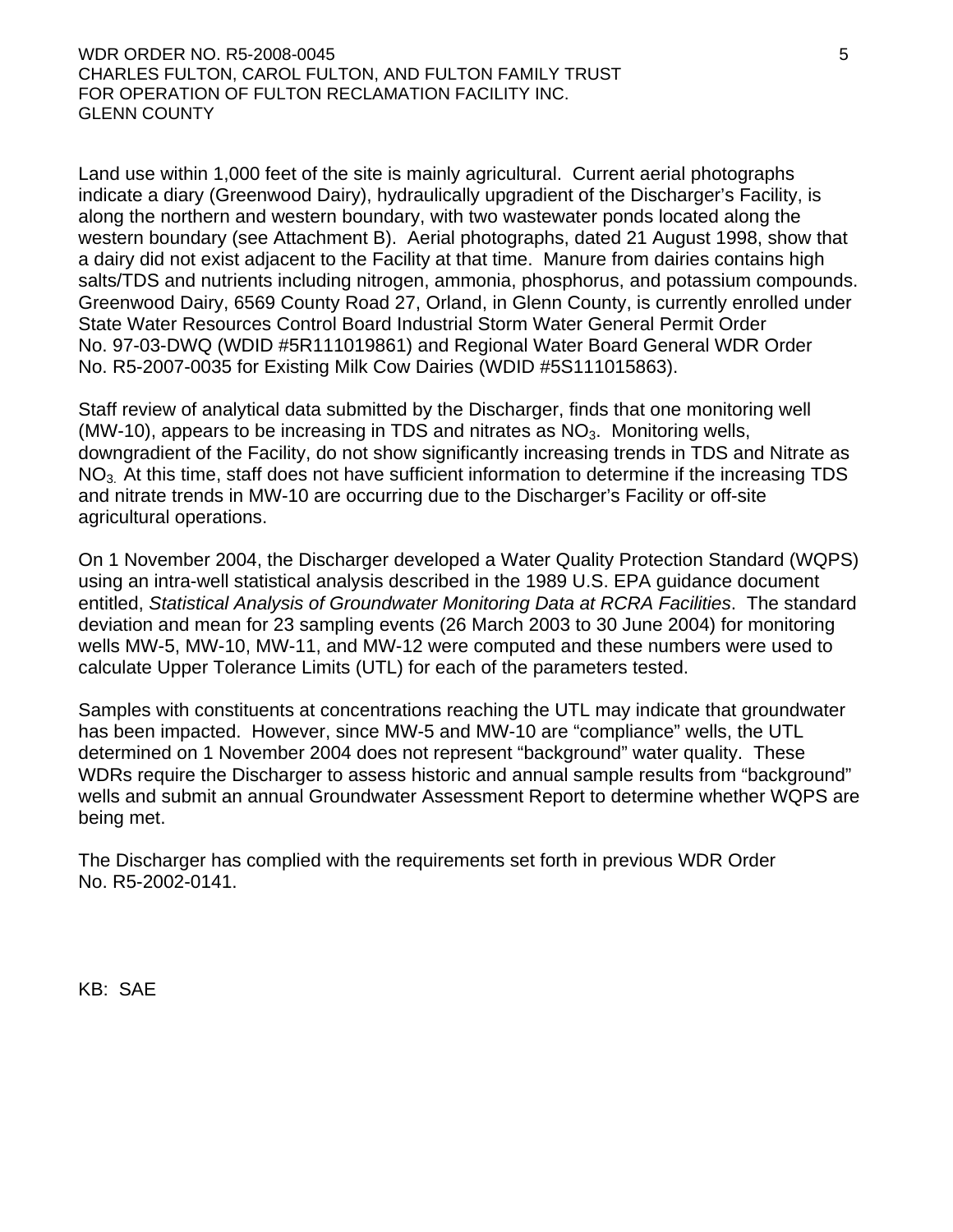Land use within 1,000 feet of the site is mainly agricultural. Current aerial photographs indicate a diary (Greenwood Dairy), hydraulically upgradient of the Discharger's Facility, is along the northern and western boundary, with two wastewater ponds located along the western boundary (see Attachment B). Aerial photographs, dated 21 August 1998, show that a dairy did not exist adjacent to the Facility at that time. Manure from dairies contains high salts/TDS and nutrients including nitrogen, ammonia, phosphorus, and potassium compounds. Greenwood Dairy, 6569 County Road 27, Orland, in Glenn County, is currently enrolled under State Water Resources Control Board Industrial Storm Water General Permit Order No. 97-03-DWQ (WDID #5R111019861) and Regional Water Board General WDR Order No. R5-2007-0035 for Existing Milk Cow Dairies (WDID #5S111015863).

Staff review of analytical data submitted by the Discharger, finds that one monitoring well (MW-10), appears to be increasing in TDS and nitrates as  $NO<sub>3</sub>$ . Monitoring wells, downgradient of the Facility, do not show significantly increasing trends in TDS and Nitrate as NO<sub>3</sub>. At this time, staff does not have sufficient information to determine if the increasing TDS and nitrate trends in MW-10 are occurring due to the Discharger's Facility or off-site agricultural operations.

On 1 November 2004, the Discharger developed a Water Quality Protection Standard (WQPS) using an intra-well statistical analysis described in the 1989 U.S. EPA guidance document entitled, *Statistical Analysis of Groundwater Monitoring Data at RCRA Facilities*. The standard deviation and mean for 23 sampling events (26 March 2003 to 30 June 2004) for monitoring wells MW-5, MW-10, MW-11, and MW-12 were computed and these numbers were used to calculate Upper Tolerance Limits (UTL) for each of the parameters tested.

Samples with constituents at concentrations reaching the UTL may indicate that groundwater has been impacted. However, since MW-5 and MW-10 are "compliance" wells, the UTL determined on 1 November 2004 does not represent "background" water quality. These WDRs require the Discharger to assess historic and annual sample results from "background" wells and submit an annual Groundwater Assessment Report to determine whether WQPS are being met.

The Discharger has complied with the requirements set forth in previous WDR Order No. R5-2002-0141.

KB: SAE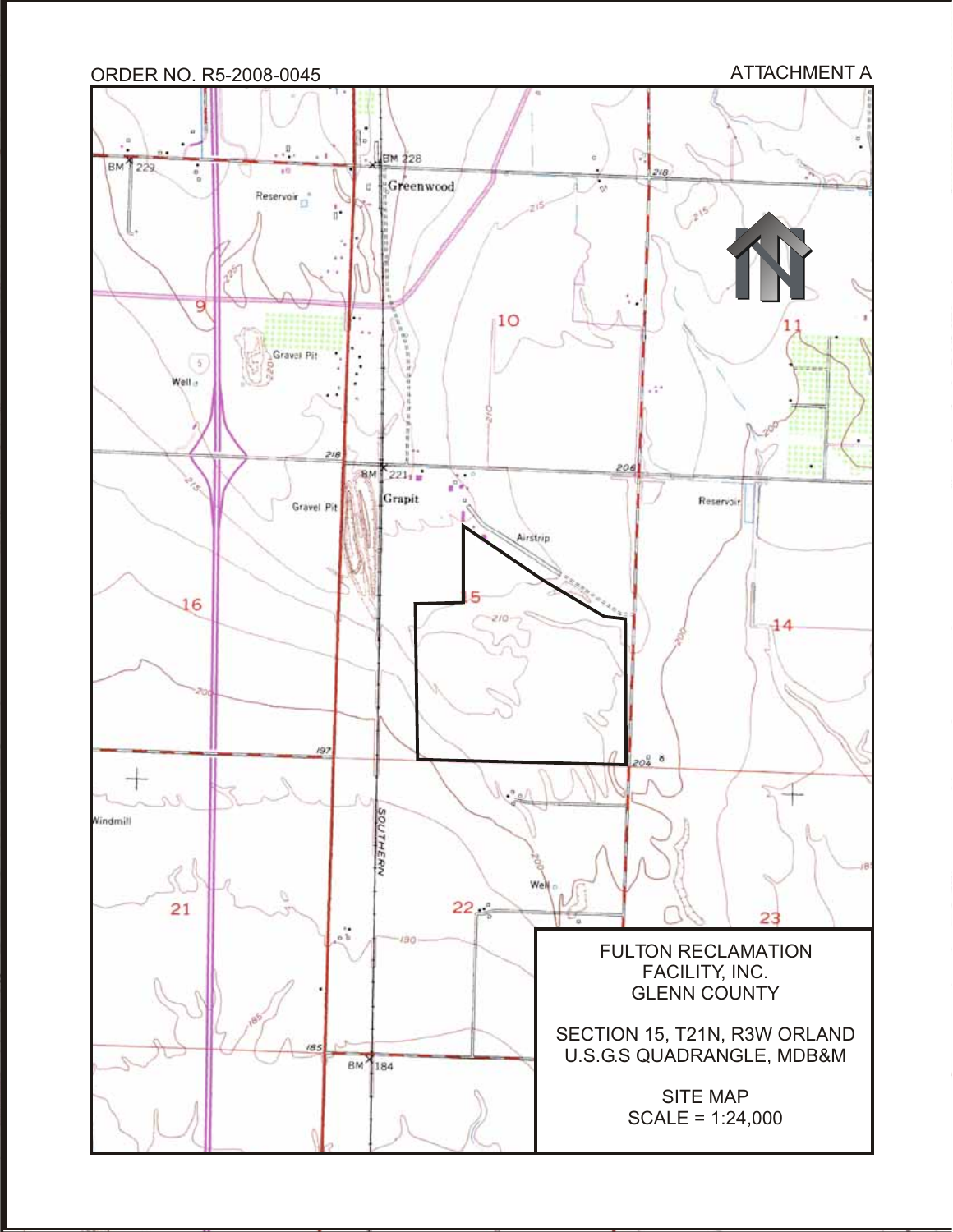